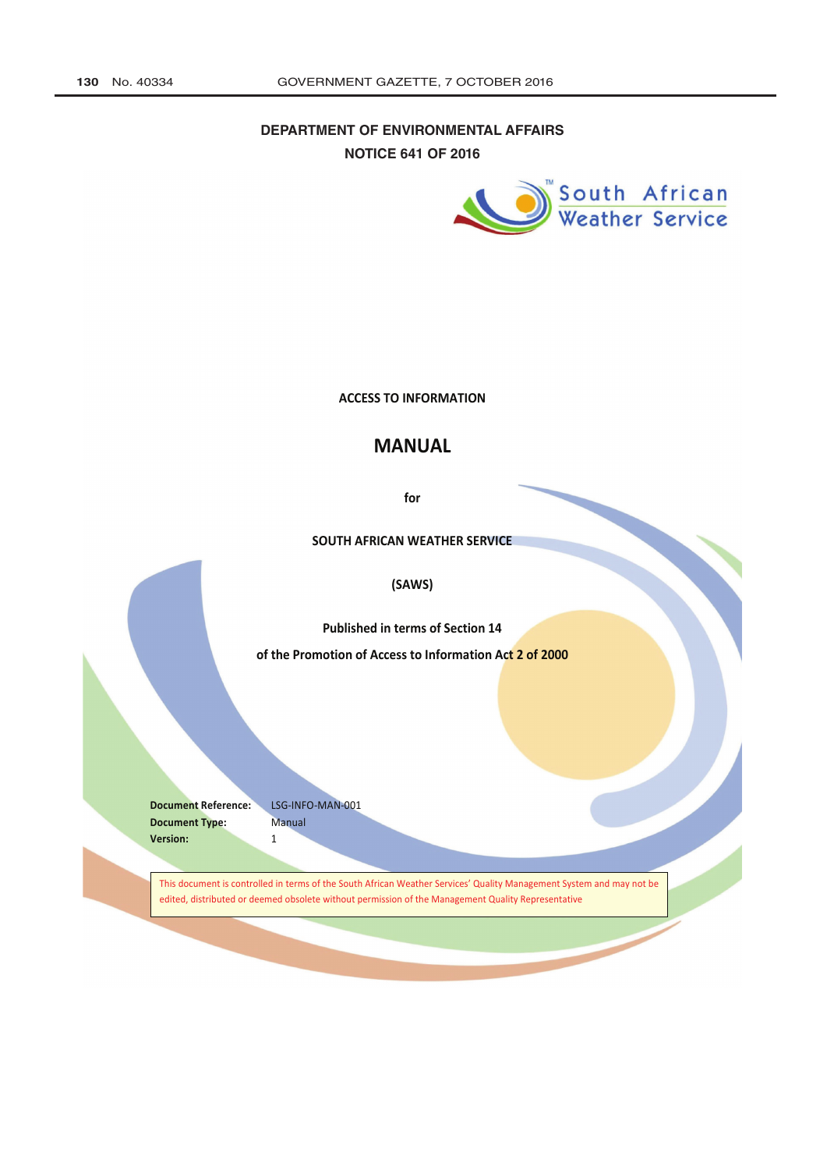## DEPARTMENT OF ENVIRONMENTAL AFFAIRS **NOTICE 641 OF 2016**



**The Contract of the Contract of the Contract of The Contract of The Contract of The Contract of The Contract of The Contract of The Contract of The Contract of The Contract of The Contract of The Contract of The Contract** 

**ACCESS TO INFORMATION** 

## **MANUAL**

for

SOUTH AFRICAN WEATHER SERVICE

## (SAWS)

**Published in terms of Section 14** 

of the Promotion of Access to Information Act 2 of 2000

**Document Reference: Document Type:** Manual Version:  $\mathbf{1}$ 

LSG-INFO-MAN-001

This document is controlled in terms of the South African Weather Services' Quality Management System and may not be edited, distributed or deemed obsolete without permission of the Management Quality Representative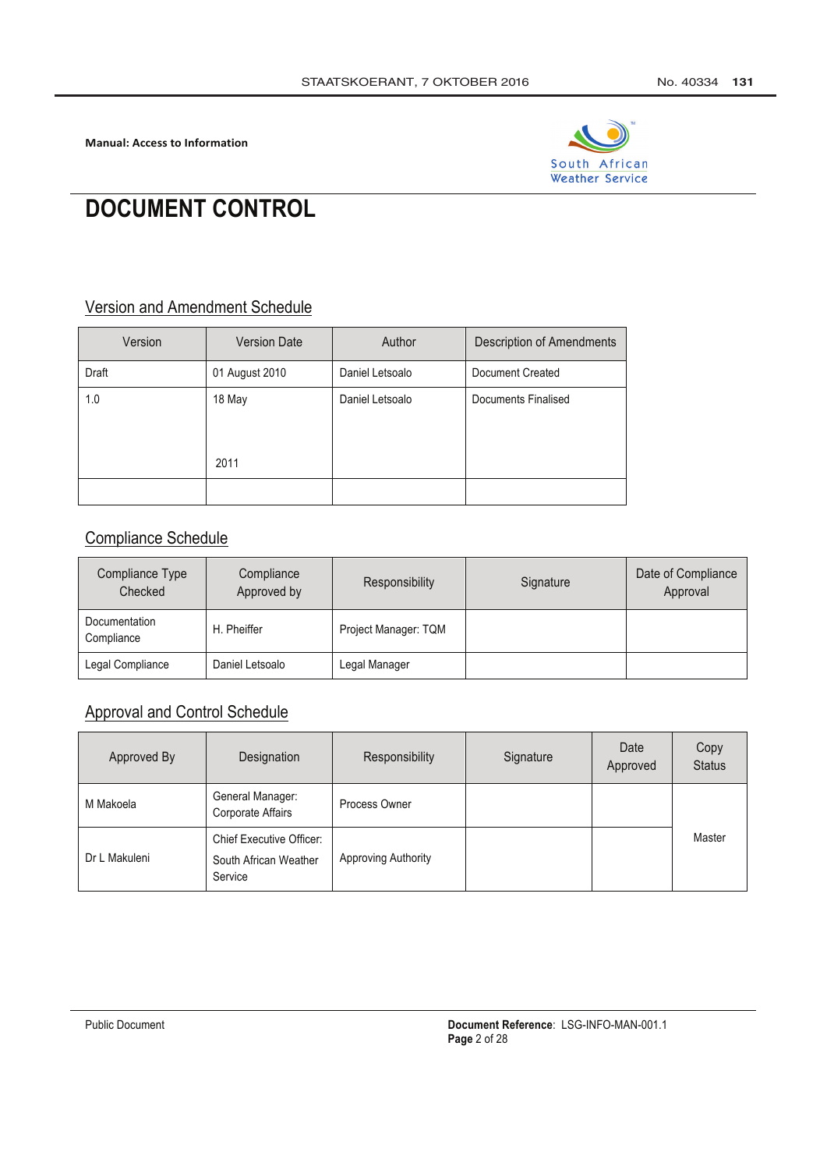

# **DOCUMENT CONTROL**

## **Version and Amendment Schedule**

| Version | <b>Version Date</b> | Author          | <b>Description of Amendments</b> |
|---------|---------------------|-----------------|----------------------------------|
| Draft   | 01 August 2010      | Daniel Letsoalo | Document Created                 |
| 1.0     | 18 May<br>2011      | Daniel Letsoalo | <b>Documents Finalised</b>       |
|         |                     |                 |                                  |

## **Compliance Schedule**

| Compliance Type<br>Checked  | Compliance<br>Approved by | Responsibility       | Signature | Date of Compliance<br>Approval |
|-----------------------------|---------------------------|----------------------|-----------|--------------------------------|
| Documentation<br>Compliance | H. Pheiffer               | Project Manager: TQM |           |                                |
| Legal Compliance            | Daniel Letsoalo           | Legal Manager        |           |                                |

# **Approval and Control Schedule**

| Approved By   | Designation                                                         | Responsibility      | Signature | Date<br>Approved | Copy<br><b>Status</b> |
|---------------|---------------------------------------------------------------------|---------------------|-----------|------------------|-----------------------|
| M Makoela     | General Manager:<br>Corporate Affairs                               | Process Owner       |           |                  |                       |
| Dr L Makuleni | <b>Chief Executive Officer:</b><br>South African Weather<br>Service | Approving Authority |           |                  | Master                |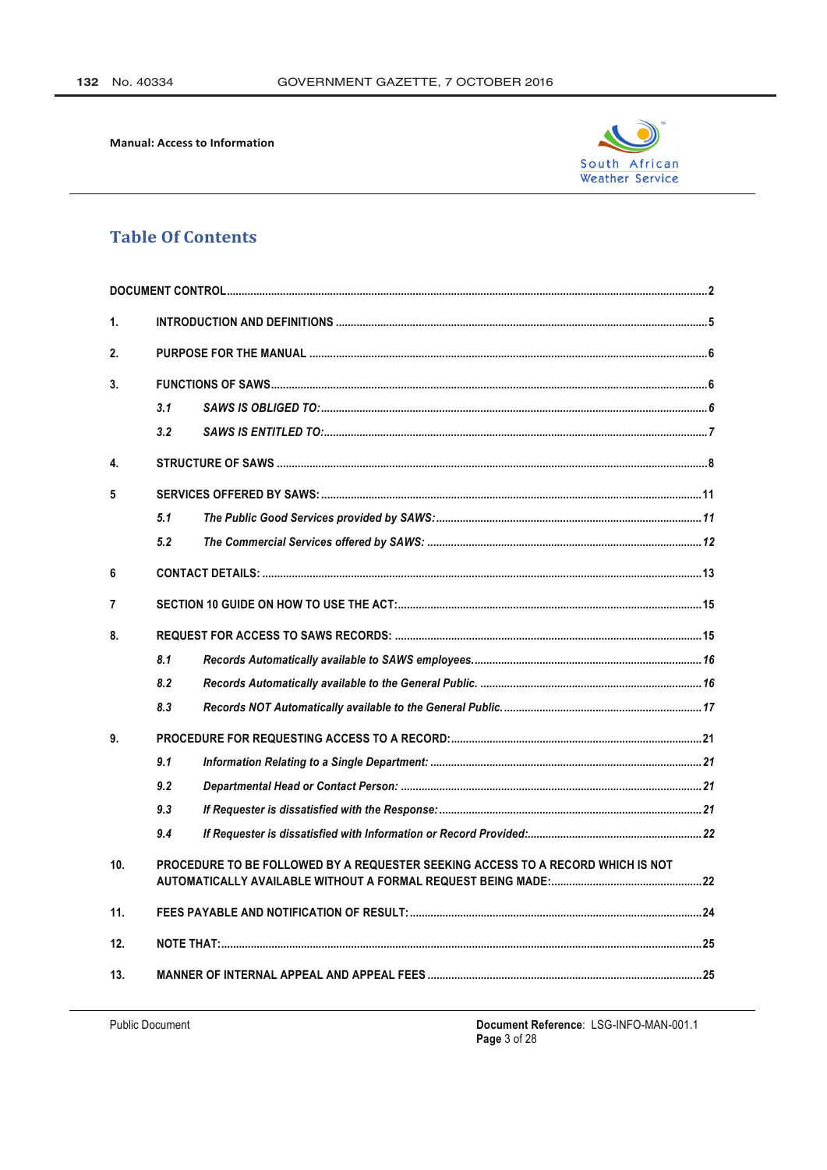

## **Table Of Contents**

| $\mathbf{1}$ . |                                                                                 |  |  |  |
|----------------|---------------------------------------------------------------------------------|--|--|--|
| 2.             |                                                                                 |  |  |  |
| 3.             |                                                                                 |  |  |  |
|                | 3.1                                                                             |  |  |  |
|                | 3.2                                                                             |  |  |  |
| 4.             |                                                                                 |  |  |  |
| 5              |                                                                                 |  |  |  |
|                | 5.1                                                                             |  |  |  |
|                | 5.2                                                                             |  |  |  |
| 6              |                                                                                 |  |  |  |
| $\overline{7}$ |                                                                                 |  |  |  |
| 8.             |                                                                                 |  |  |  |
|                | 8.1                                                                             |  |  |  |
|                | 8.2                                                                             |  |  |  |
|                | 8.3                                                                             |  |  |  |
| 9.             |                                                                                 |  |  |  |
|                | 9.1                                                                             |  |  |  |
|                | 9.2                                                                             |  |  |  |
|                | 9.3                                                                             |  |  |  |
|                | 9.4                                                                             |  |  |  |
| 10.            | PROCEDURE TO BE FOLLOWED BY A REQUESTER SEEKING ACCESS TO A RECORD WHICH IS NOT |  |  |  |
| 11.            |                                                                                 |  |  |  |
| 12.            |                                                                                 |  |  |  |
| 13.            |                                                                                 |  |  |  |

**Public Document** 

Document Reference: LSG-INFO-MAN-001.1<br>Page 3 of 28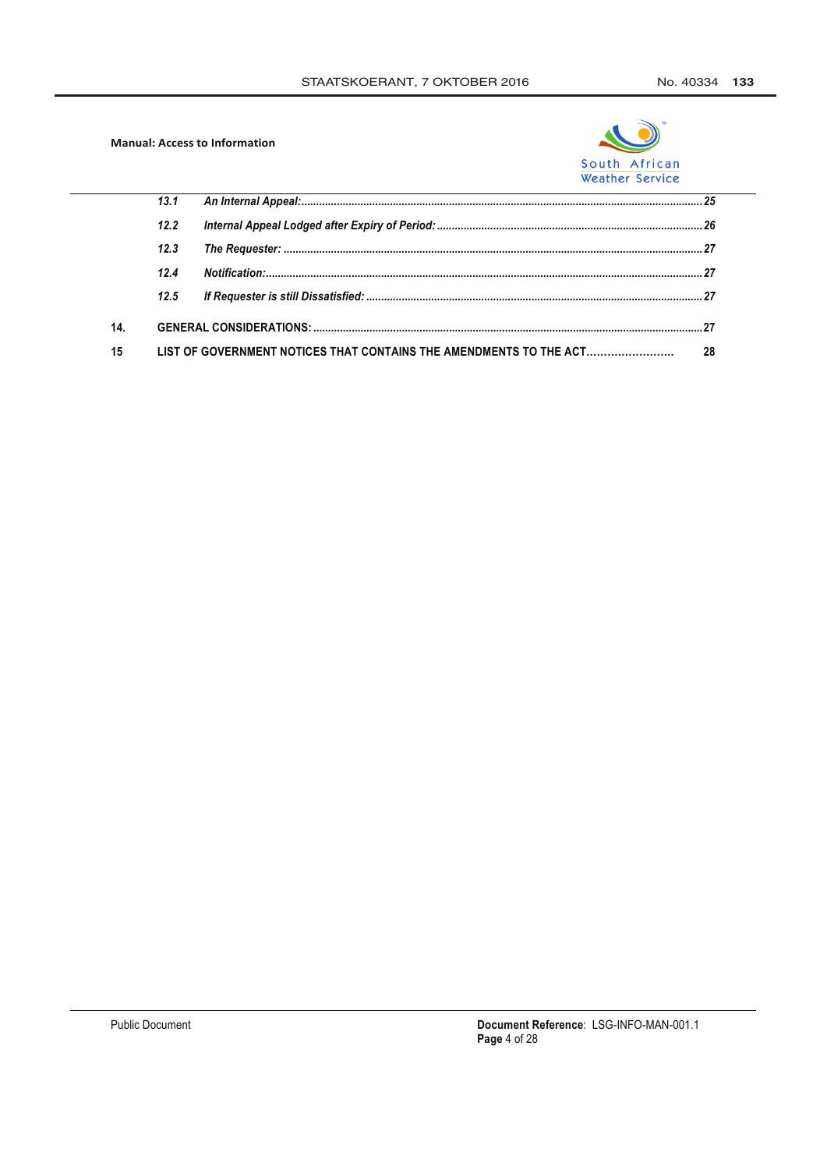

|    | 13.1 |                                                                    |    |
|----|------|--------------------------------------------------------------------|----|
|    | 12.2 |                                                                    |    |
|    | 12.3 |                                                                    |    |
|    | 12.4 |                                                                    |    |
|    | 12.5 |                                                                    |    |
| 14 |      |                                                                    |    |
| 15 |      | LIST OF GOVERNMENT NOTICES THAT CONTAINS THE AMENDMENTS TO THE ACT | 28 |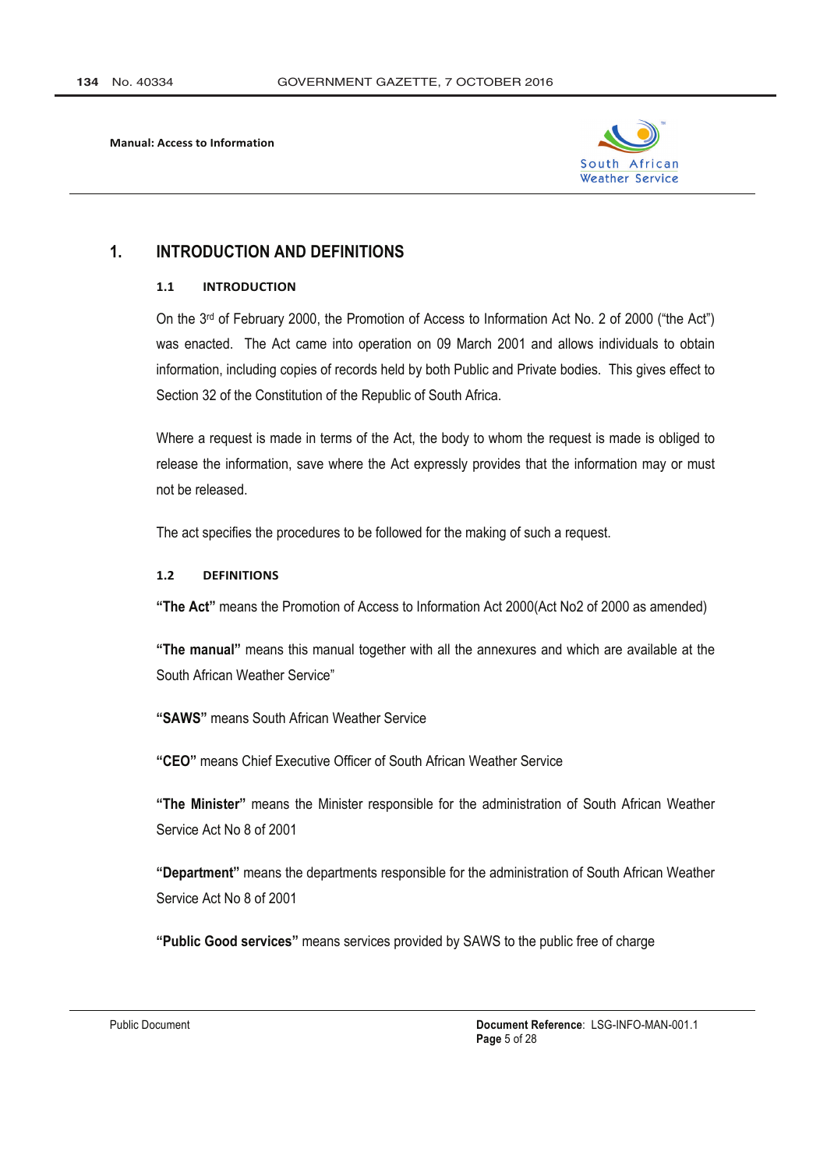

#### $\mathbf 1$ **INTRODUCTION AND DEFINITIONS**

#### **INTRODUCTION**  $11$

On the 3rd of February 2000, the Promotion of Access to Information Act No. 2 of 2000 ("the Act") was enacted. The Act came into operation on 09 March 2001 and allows individuals to obtain information, including copies of records held by both Public and Private bodies. This gives effect to Section 32 of the Constitution of the Republic of South Africa.

Where a request is made in terms of the Act, the body to whom the request is made is obliged to release the information, save where the Act expressly provides that the information may or must not be released.

The act specifies the procedures to be followed for the making of such a request.

#### **DEFINITIONS**  $1.2$

"The Act" means the Promotion of Access to Information Act 2000(Act No2 of 2000 as amended)

"The manual" means this manual together with all the annexures and which are available at the South African Weather Service"

"SAWS" means South African Weather Service

"CEO" means Chief Executive Officer of South African Weather Service

"The Minister" means the Minister responsible for the administration of South African Weather Service Act No 8 of 2001

"Department" means the departments responsible for the administration of South African Weather Service Act No 8 of 2001

"Public Good services" means services provided by SAWS to the public free of charge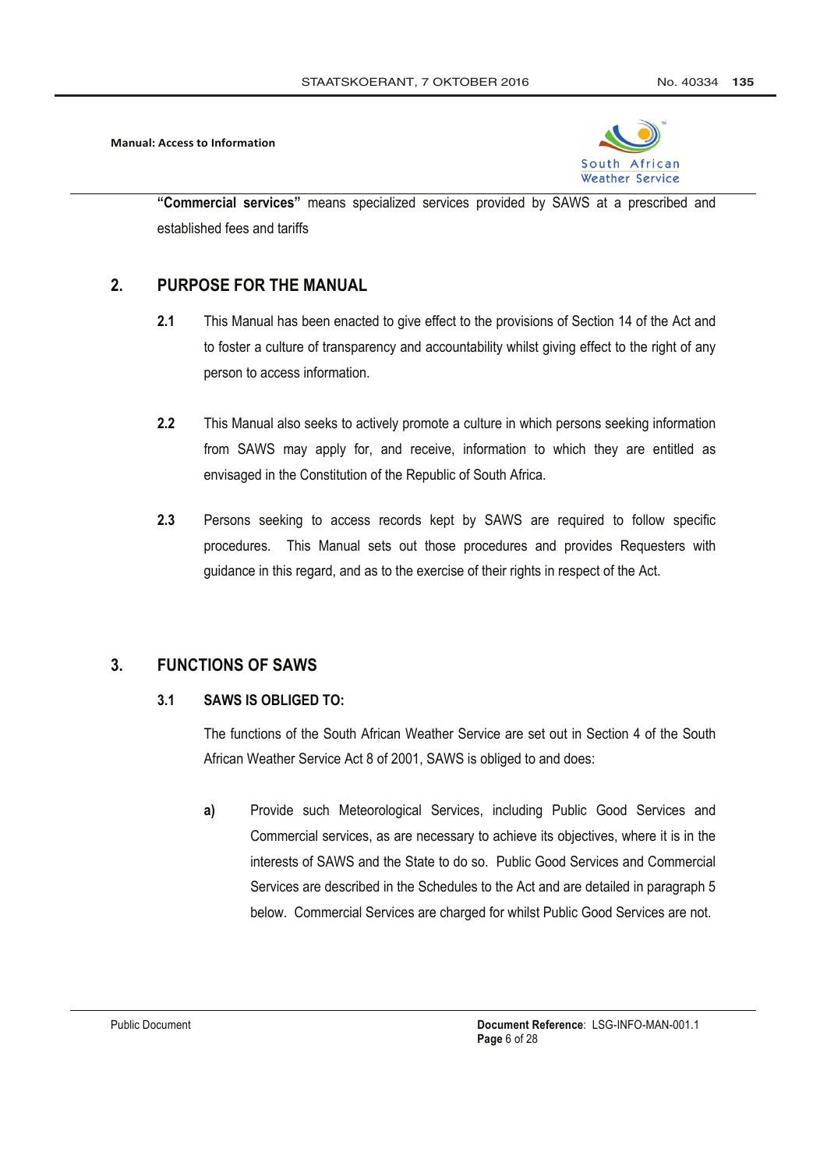

"Commercial services" means specialized services provided by SAWS at a prescribed and established fees and tariffs

#### PURPOSE FOR THE MANUAL  $2<sub>1</sub>$

- $2.1$ This Manual has been enacted to give effect to the provisions of Section 14 of the Act and to foster a culture of transparency and accountability whilst giving effect to the right of any person to access information.
- $2.2$ This Manual also seeks to actively promote a culture in which persons seeking information from SAWS may apply for, and receive, information to which they are entitled as envisaged in the Constitution of the Republic of South Africa.
- Persons seeking to access records kept by SAWS are required to follow specific  $2.3$ procedures. This Manual sets out those procedures and provides Requesters with quidance in this regard, and as to the exercise of their rights in respect of the Act.

#### $3<sub>1</sub>$ **FUNCTIONS OF SAWS**

#### $3<sub>1</sub>$ SAWS IS ORLIGED TO:

The functions of the South African Weather Service are set out in Section 4 of the South African Weather Service Act 8 of 2001, SAWS is obliged to and does:

 $a)$ Provide such Meteorological Services, including Public Good Services and Commercial services, as are necessary to achieve its objectives, where it is in the interests of SAWS and the State to do so. Public Good Services and Commercial Services are described in the Schedules to the Act and are detailed in paragraph 5 below. Commercial Services are charged for whilst Public Good Services are not.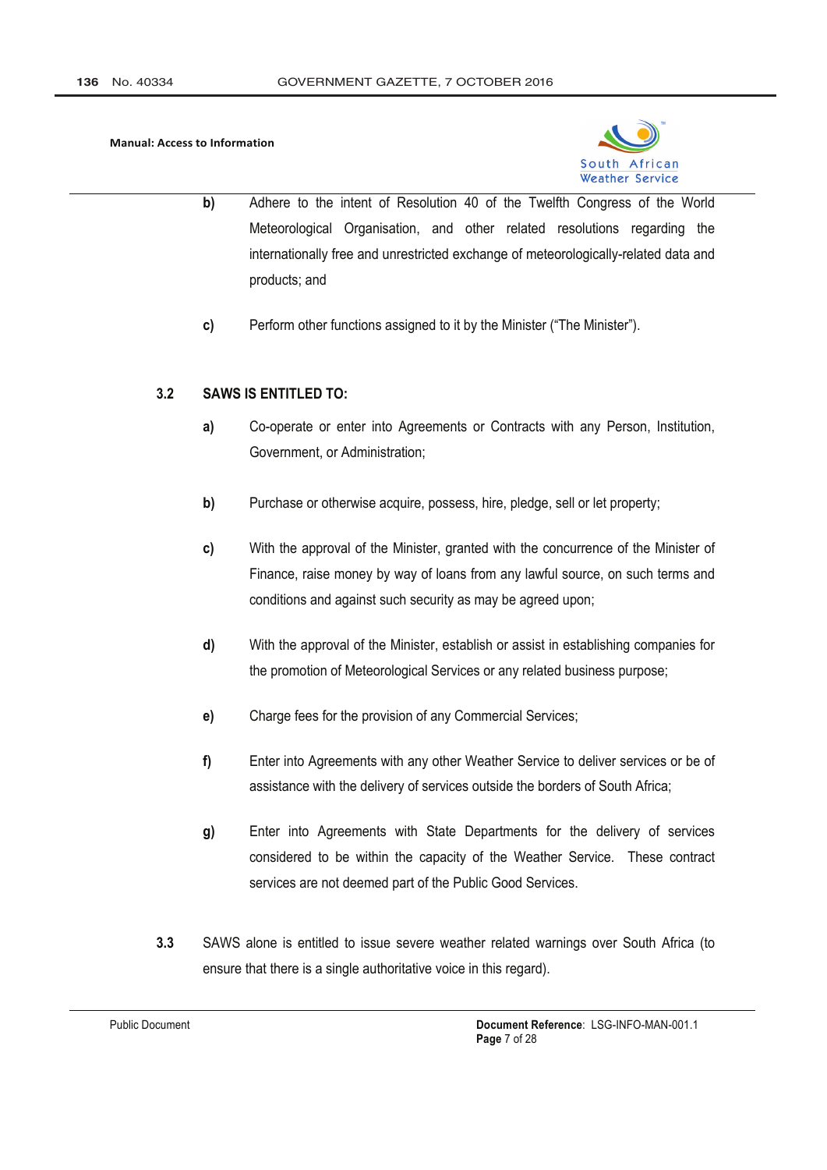

- b) Adhere to the intent of Resolution 40 of the Twelfth Congress of the World Meteorological Organisation, and other related resolutions regarding the internationally free and unrestricted exchange of meteorologically-related data and products; and
- $c)$ Perform other functions assigned to it by the Minister ("The Minister").

#### **SAWS IS ENTITLED TO:**  $3.2$

- $a)$ Co-operate or enter into Agreements or Contracts with any Person, Institution, Government, or Administration;
- $b)$ Purchase or otherwise acquire, possess, hire, pledge, sell or let property;
- With the approval of the Minister, granted with the concurrence of the Minister of c) Finance, raise money by way of loans from any lawful source, on such terms and conditions and against such security as may be agreed upon;
- d) With the approval of the Minister, establish or assist in establishing companies for the promotion of Meteorological Services or any related business purpose;
- Charge fees for the provision of any Commercial Services;  $e)$
- $f$ Enter into Agreements with any other Weather Service to deliver services or be of assistance with the delivery of services outside the borders of South Africa;
- Enter into Agreements with State Departments for the delivery of services  $g)$ considered to be within the capacity of the Weather Service. These contract services are not deemed part of the Public Good Services.
- $3.3$ SAWS alone is entitled to issue severe weather related warnings over South Africa (to ensure that there is a single authoritative voice in this regard).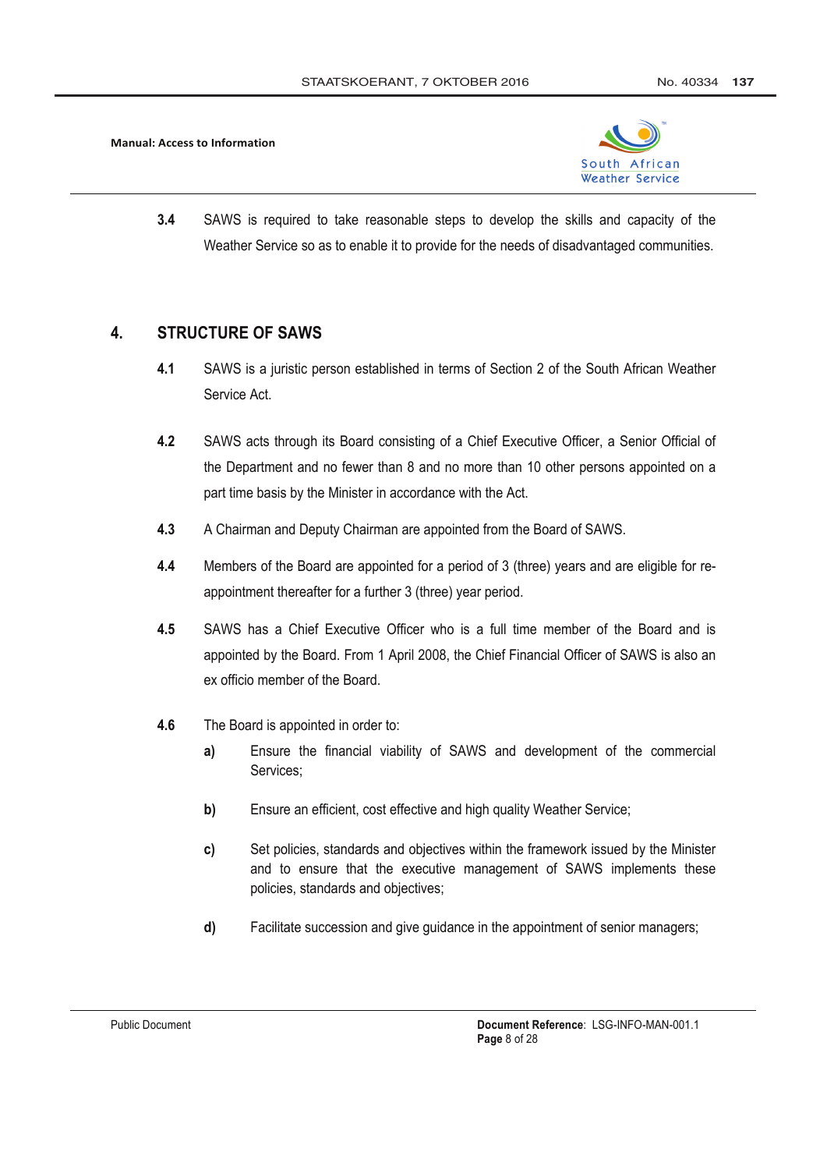

 $3.4$ SAWS is required to take reasonable steps to develop the skills and capacity of the Weather Service so as to enable it to provide for the needs of disadvantaged communities.

#### $\overline{4}$ . **STRUCTURE OF SAWS**

- $4.1$ SAWS is a juristic person established in terms of Section 2 of the South African Weather Service Act.
- **42** SAWS acts through its Board consisting of a Chief Executive Officer, a Senior Official of the Department and no fewer than 8 and no more than 10 other persons appointed on a part time basis by the Minister in accordance with the Act.
- $4.3$ A Chairman and Deputy Chairman are appointed from the Board of SAWS.
- $4.4$ Members of the Board are appointed for a period of 3 (three) years and are eligible for reappointment thereafter for a further 3 (three) year period.
- $4.5$ SAWS has a Chief Executive Officer who is a full time member of the Board and is appointed by the Board. From 1 April 2008, the Chief Financial Officer of SAWS is also an ex officio member of the Board
- $46$ The Board is appointed in order to:
	- Ensure the financial viability of SAWS and development of the commercial  $a)$ Services:
	- Ensure an efficient, cost effective and high quality Weather Service; b)
	- Set policies, standards and objectives within the framework issued by the Minister C) and to ensure that the executive management of SAWS implements these policies, standards and objectives;
	- d) Facilitate succession and give quidance in the appointment of senior managers;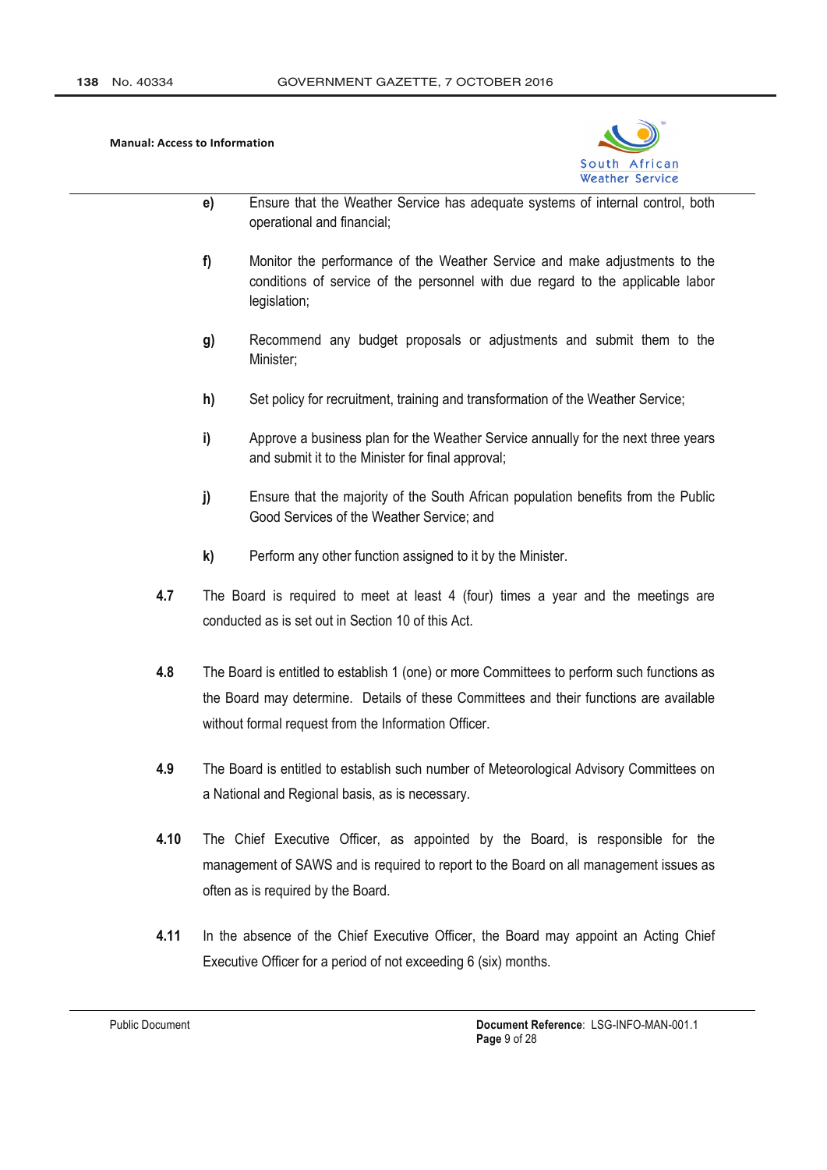

- $e)$ Ensure that the Weather Service has adequate systems of internal control, both operational and financial;
- $f$ Monitor the performance of the Weather Service and make adjustments to the conditions of service of the personnel with due regard to the applicable labor legislation;
- $\mathbf{q}$ Recommend any budget proposals or adjustments and submit them to the Minister:
- $h)$ Set policy for recruitment, training and transformation of the Weather Service;
- Approve a business plan for the Weather Service annually for the next three years i) and submit it to the Minister for final approval;
- Ensure that the majority of the South African population benefits from the Public  $j)$ Good Services of the Weather Service: and
- $\mathbf{k}$ Perform any other function assigned to it by the Minister.
- 4.7 The Board is required to meet at least 4 (four) times a year and the meetings are conducted as is set out in Section 10 of this Act
- 4.8 The Board is entitled to establish 1 (one) or more Committees to perform such functions as the Board may determine. Details of these Committees and their functions are available without formal request from the Information Officer.
- 4.9 The Board is entitled to establish such number of Meteorological Advisory Committees on a National and Regional basis, as is necessary.
- $4.10$ The Chief Executive Officer, as appointed by the Board, is responsible for the management of SAWS and is required to report to the Board on all management issues as often as is required by the Board.
- $4.11$ In the absence of the Chief Executive Officer, the Board may appoint an Acting Chief Executive Officer for a period of not exceeding 6 (six) months.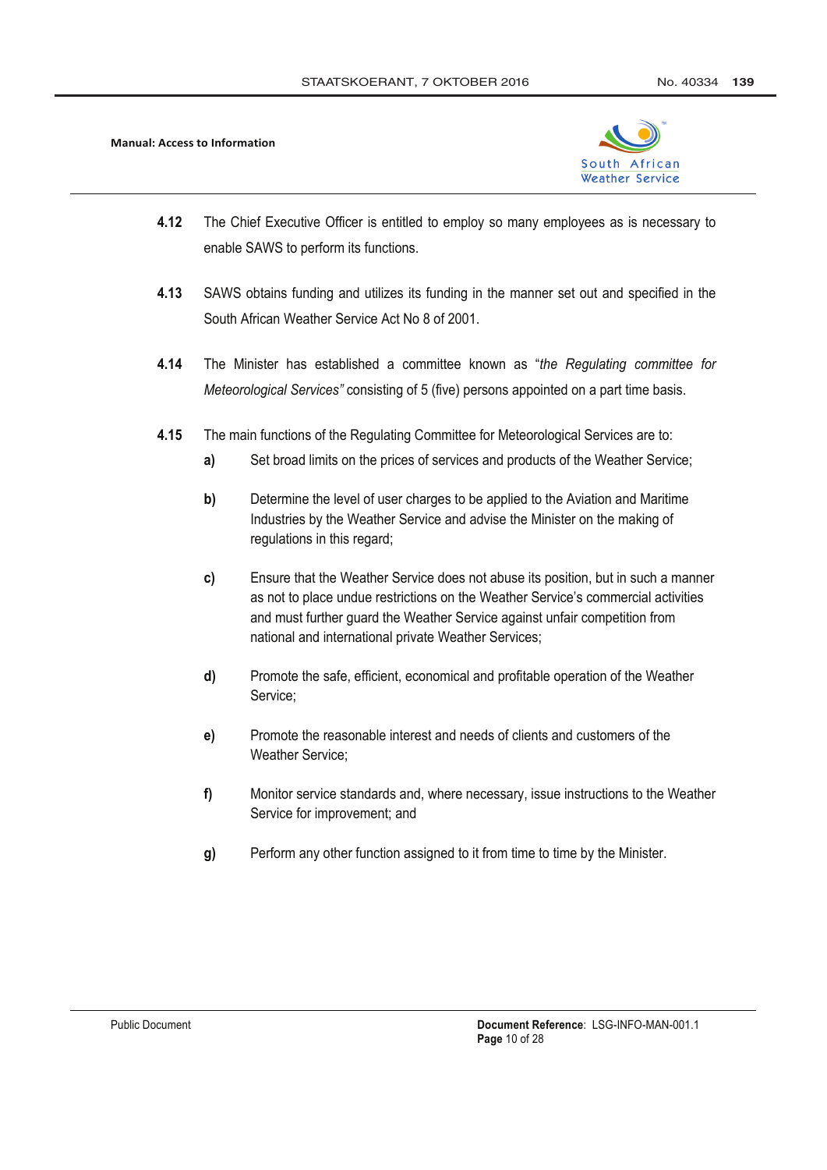

- $4.12$ The Chief Executive Officer is entitled to employ so many employees as is necessary to enable SAWS to perform its functions.
- 4.13 SAWS obtains funding and utilizes its funding in the manner set out and specified in the South African Weather Service Act No 8 of 2001.
- 4 14 The Minister has established a committee known as "the Regulating committee for Meteorological Services" consisting of 5 (five) persons appointed on a part time basis.
- 4.15 The main functions of the Regulating Committee for Meteorological Services are to:
	- Set broad limits on the prices of services and products of the Weather Service; a)
	- $b)$ Determine the level of user charges to be applied to the Aviation and Maritime Industries by the Weather Service and advise the Minister on the making of regulations in this regard;
	- $c)$ Ensure that the Weather Service does not abuse its position, but in such a manner as not to place undue restrictions on the Weather Service's commercial activities and must further quard the Weather Service against unfair competition from national and international private Weather Services:
	- d) Promote the safe, efficient, economical and profitable operation of the Weather Service:
	- Promote the reasonable interest and needs of clients and customers of the  $e)$ Weather Service:
	- $f$ Monitor service standards and, where necessary, issue instructions to the Weather Service for improvement; and
	- $g)$ Perform any other function assigned to it from time to time by the Minister.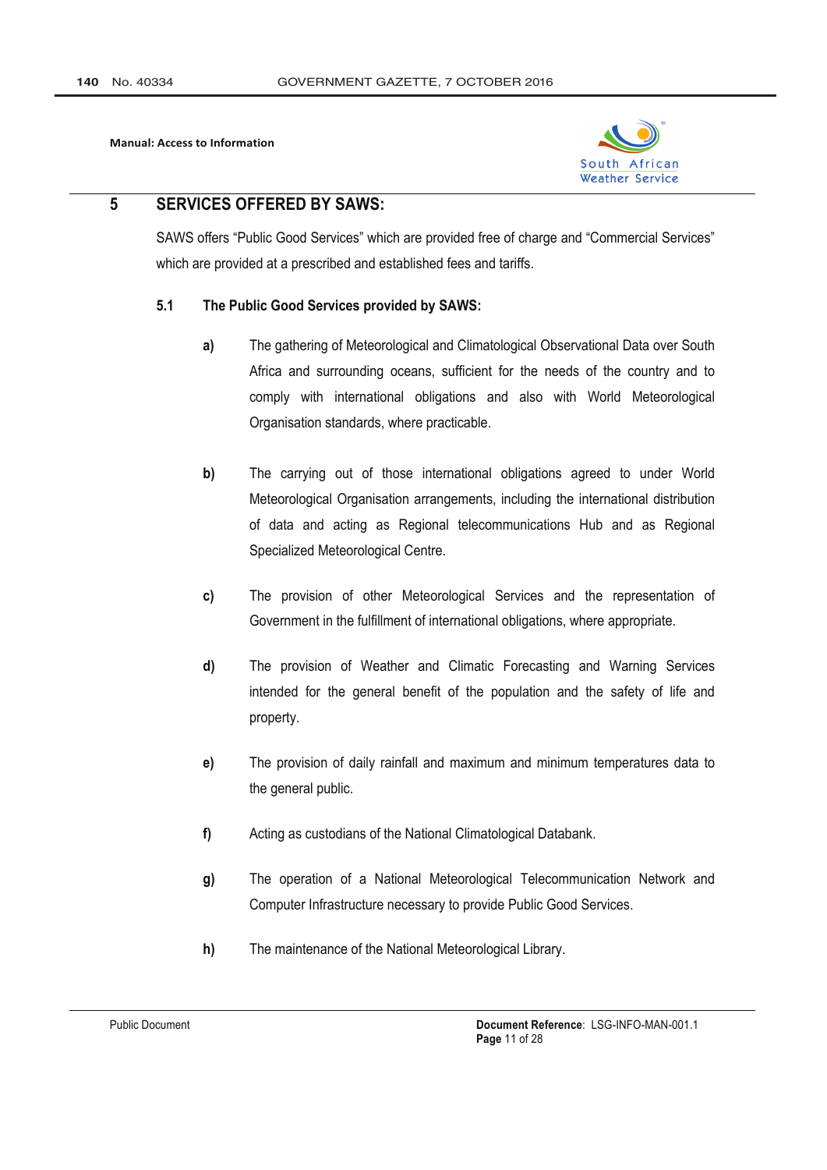

#### 5 **SERVICES OFFERED BY SAWS:**

"SAWS offers "Public Good Services" which are provided free of charge and "Commercial Services" which are provided at a prescribed and established fees and tariffs.

#### $5.1$ The Public Good Services provided by SAWS:

- $a)$ The gathering of Meteorological and Climatological Observational Data over South Africa and surrounding oceans, sufficient for the needs of the country and to comply with international obligations and also with World Meteorological Organisation standards, where practicable.
- The carrying out of those international obligations agreed to under World b) Meteorological Organisation arrangements, including the international distribution of data and acting as Regional telecommunications Hub and as Regional Specialized Meteorological Centre.
- c) The provision of other Meteorological Services and the representation of Government in the fulfillment of international obligations, where appropriate.
- d) The provision of Weather and Climatic Forecasting and Warning Services intended for the general benefit of the population and the safety of life and property.
- $e)$ The provision of daily rainfall and maximum and minimum temperatures data to the general public.
- $f$ Acting as custodians of the National Climatological Databank.
- $\mathbf{q}$ The operation of a National Meteorological Telecommunication Network and Computer Infrastructure necessary to provide Public Good Services.
- $h)$ The maintenance of the National Meteorological Library.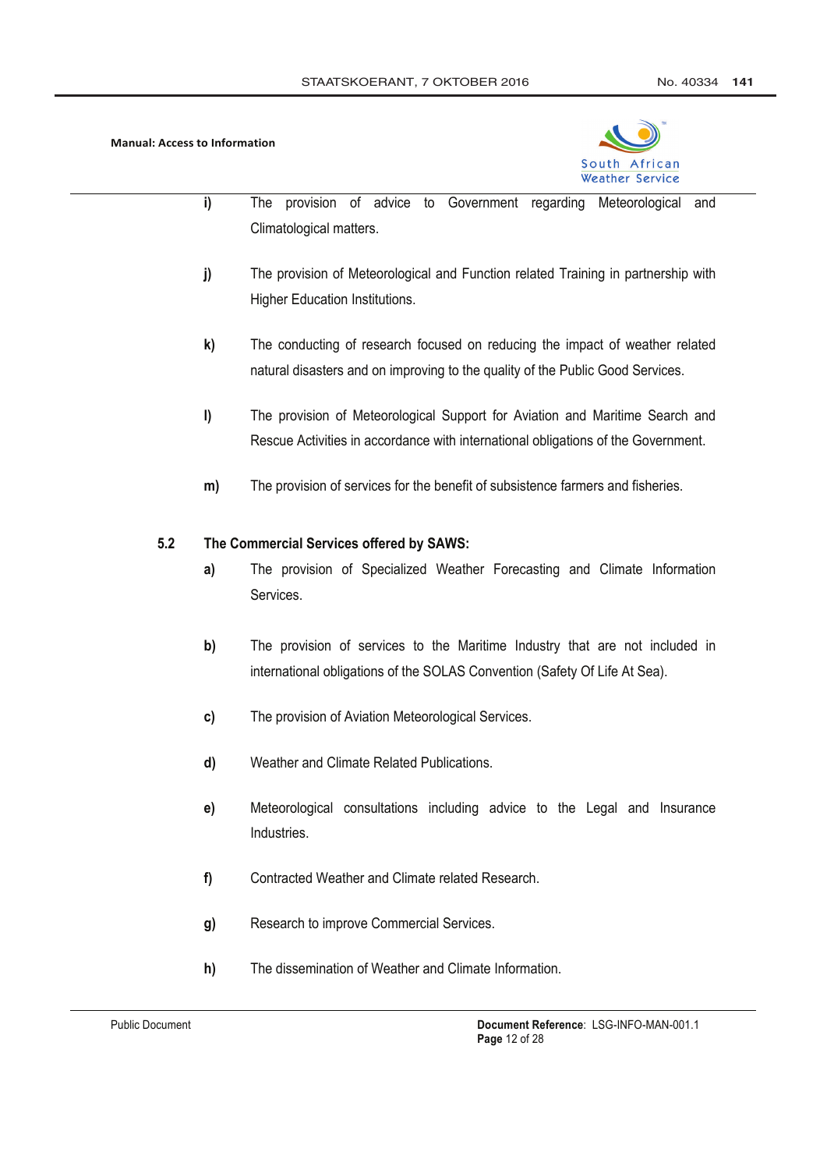

- i) The provision of advice to Government regarding Meteorological and Climatological matters.
- The provision of Meteorological and Function related Training in partnership with  $j)$ **Higher Education Institutions.**
- $\mathbf{k}$ The conducting of research focused on reducing the impact of weather related natural disasters and on improving to the quality of the Public Good Services.
- I) The provision of Meteorological Support for Aviation and Maritime Search and Rescue Activities in accordance with international obligations of the Government.
- The provision of services for the benefit of subsistence farmers and fisheries. m)

#### $5.2$ The Commercial Services offered by SAWS:

- The provision of Specialized Weather Forecasting and Climate Information  $a)$ Services.
- $b)$ The provision of services to the Maritime Industry that are not included in international obligations of the SOLAS Convention (Safety Of Life At Sea).
- The provision of Aviation Meteorological Services. c)
- Weather and Climate Related Publications. d)
- $e)$ Meteorological consultations including advice to the Legal and Insurance Industries.
- Contracted Weather and Climate related Research.  $f$
- Research to improve Commercial Services.  $g)$
- $h)$ The dissemination of Weather and Climate Information.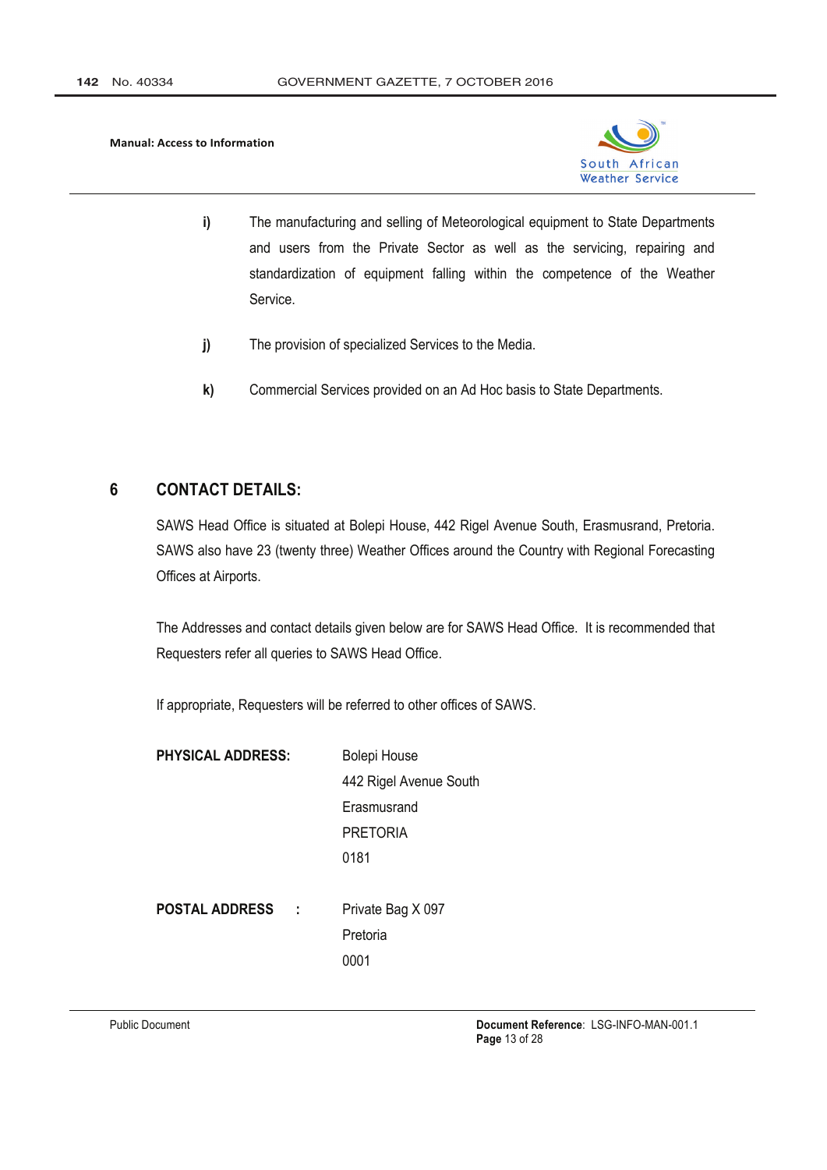

- i) The manufacturing and selling of Meteorological equipment to State Departments and users from the Private Sector as well as the servicing, repairing and standardization of equipment falling within the competence of the Weather Service.
- $j)$ The provision of specialized Services to the Media.
- $\mathbf{k}$ Commercial Services provided on an Ad Hoc basis to State Departments.

#### **CONTACT DETAILS:**  $6\phantom{1}6$

SAWS Head Office is situated at Bolepi House, 442 Rigel Avenue South, Erasmusrand, Pretoria. SAWS also have 23 (twenty three) Weather Offices around the Country with Regional Forecasting Offices at Airports.

The Addresses and contact details given below are for SAWS Head Office. It is recommended that Requesters refer all queries to SAWS Head Office.

If appropriate, Requesters will be referred to other offices of SAWS.

| <b>PHYSICAL ADDRESS:</b> | <b>Bolepi House</b>    |
|--------------------------|------------------------|
|                          | 442 Rigel Avenue South |
|                          | Erasmusrand            |
|                          | <b>PRETORIA</b>        |
|                          | 0181                   |
|                          |                        |
| <b>POSTAL ADDRESS</b>    | Private Bag X 097      |
|                          | Pretoria               |
|                          |                        |

0001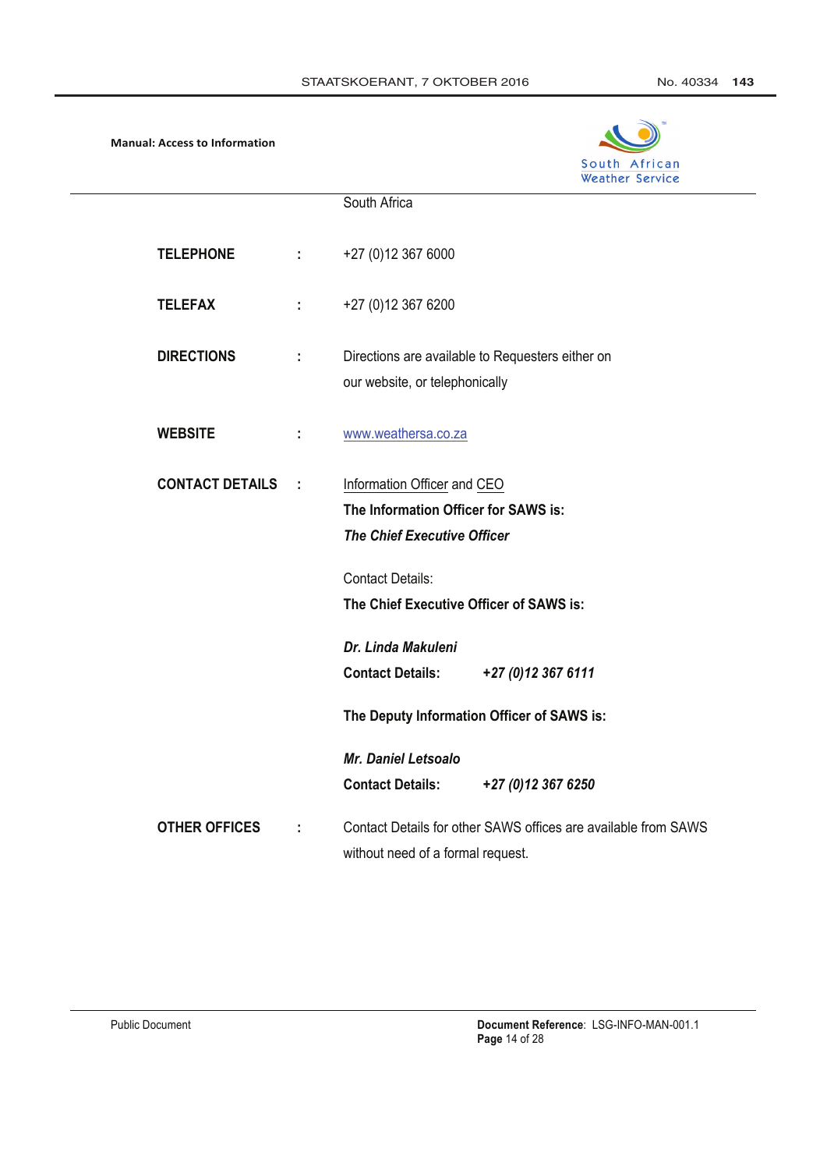

|                        |     | South Africa                                                   |
|------------------------|-----|----------------------------------------------------------------|
|                        |     |                                                                |
| <b>TELEPHONE</b>       | ÷   | +27 (0)12 367 6000                                             |
| <b>TELEFAX</b>         | ÷   | +27 (0) 12 367 6200                                            |
| <b>DIRECTIONS</b>      | ÷   | Directions are available to Requesters either on               |
|                        |     | our website, or telephonically                                 |
| <b>WEBSITE</b>         | ÷   | www.weathersa.co.za                                            |
| <b>CONTACT DETAILS</b> | - 1 | Information Officer and CEO                                    |
|                        |     | The Information Officer for SAWS is:                           |
|                        |     | <b>The Chief Executive Officer</b>                             |
|                        |     |                                                                |
|                        |     | <b>Contact Details:</b>                                        |
|                        |     | The Chief Executive Officer of SAWS is:                        |
|                        |     | Dr. Linda Makuleni                                             |
|                        |     | <b>Contact Details:</b><br>+27 (0) 12 367 6111                 |
|                        |     | The Deputy Information Officer of SAWS is:                     |
|                        |     | <b>Mr. Daniel Letsoalo</b>                                     |
|                        |     | <b>Contact Details:</b><br>+27 (0)12 367 6250                  |
| <b>OTHER OFFICES</b>   | ÷   | Contact Details for other SAWS offices are available from SAWS |
|                        |     | without need of a formal request.                              |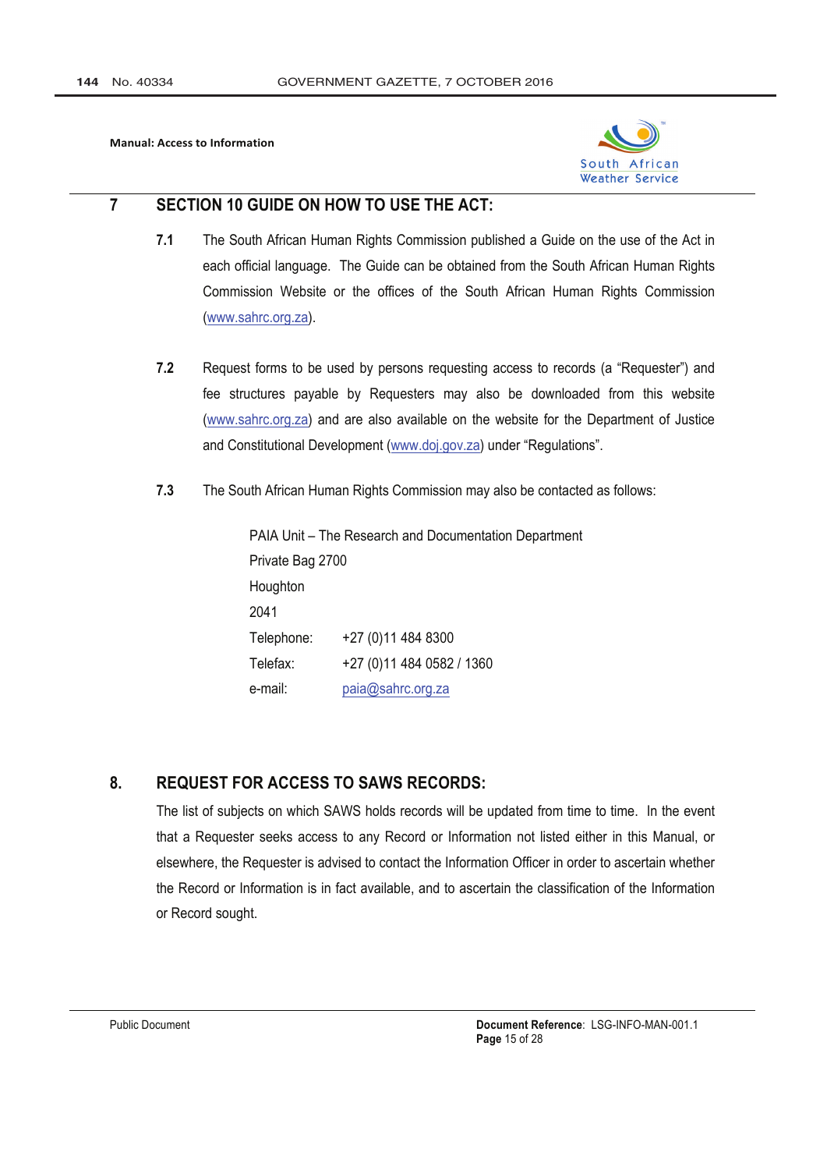

#### $\overline{7}$ SECTION 10 GUIDE ON HOW TO USE THE ACT:

- $7.1$ The South African Human Rights Commission published a Guide on the use of the Act in each official language. The Guide can be obtained from the South African Human Rights Commission Website or the offices of the South African Human Rights Commission (www.sahrc.org.za).
- $7.2$ Request forms to be used by persons requesting access to records (a "Requester") and fee structures payable by Requesters may also be downloaded from this website (www.sahrc.org.za) and are also available on the website for the Department of Justice and Constitutional Development (www.doj.gov.za) under "Regulations".
- $7.3$ The South African Human Rights Commission may also be contacted as follows:

PAIA Unit - The Research and Documentation Department Private Bag 2700 Houghton 2041 Telephone: +27 (0) 11 484 8300 Telefax: +27 (0) 11 484 0582 / 1360 paia@sahrc.org.za e-mail:

#### 8. **REQUEST FOR ACCESS TO SAWS RECORDS:**

The list of subjects on which SAWS holds records will be updated from time to time. In the event that a Requester seeks access to any Record or Information not listed either in this Manual, or elsewhere, the Requester is advised to contact the Information Officer in order to ascertain whether the Record or Information is in fact available, and to ascertain the classification of the Information or Record sought.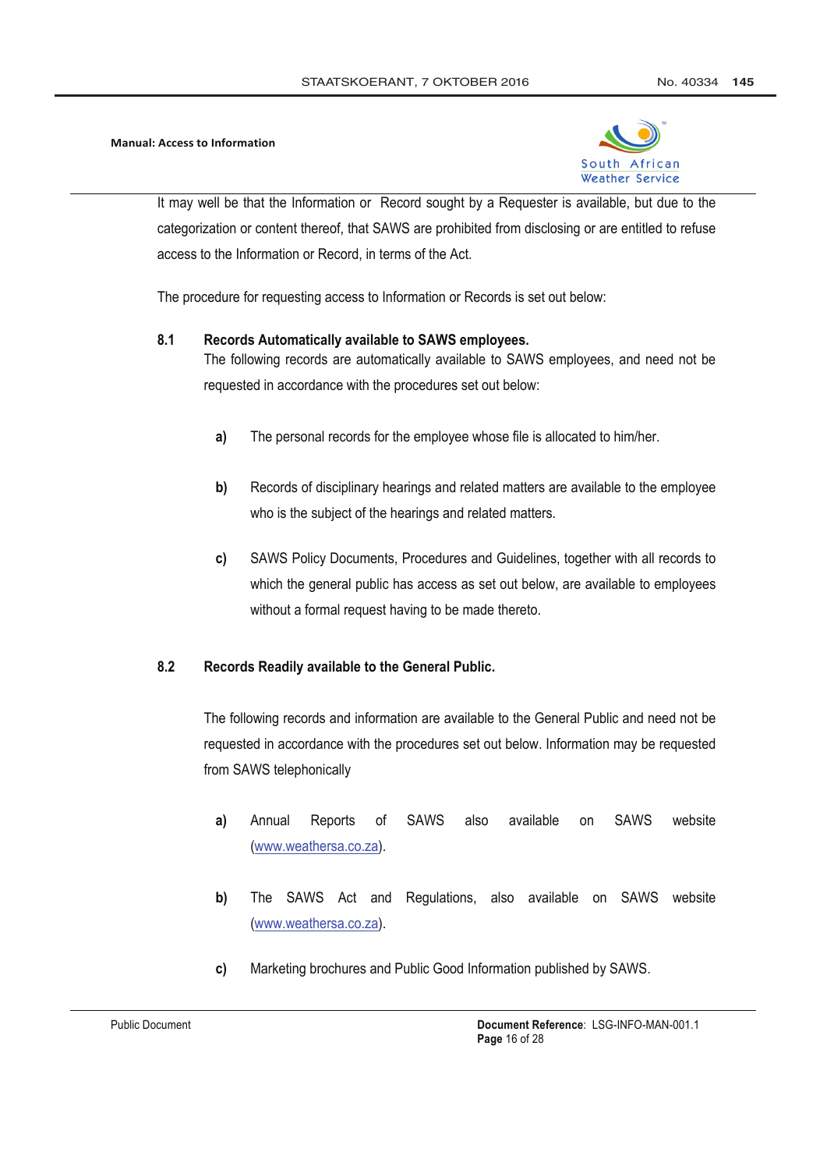

It may well be that the Information or Record sought by a Requester is available, but due to the categorization or content thereof, that SAWS are prohibited from disclosing or are entitled to refuse access to the Information or Record, in terms of the Act.

The procedure for requesting access to Information or Records is set out below:

#### $8.1$ Records Automatically available to SAWS employees.

The following records are automatically available to SAWS employees, and need not be requested in accordance with the procedures set out below:

- $a)$ The personal records for the employee whose file is allocated to him/her.
- b) Records of disciplinary hearings and related matters are available to the employee who is the subject of the hearings and related matters.
- SAWS Policy Documents, Procedures and Guidelines, together with all records to c) which the general public has access as set out below, are available to employees without a formal request having to be made thereto.

#### $8.2$ Records Readily available to the General Public.

The following records and information are available to the General Public and need not be requested in accordance with the procedures set out below. Information may be requested from SAWS telephonically

- **SAWS SAWS** website of available  $a)$ Annual Reports also on (www.weathersa.co.za).
- b) The SAWS Act and Regulations, also available on SAWS website (www.weathersa.co.za).
- Marketing brochures and Public Good Information published by SAWS. c)

**Public Document**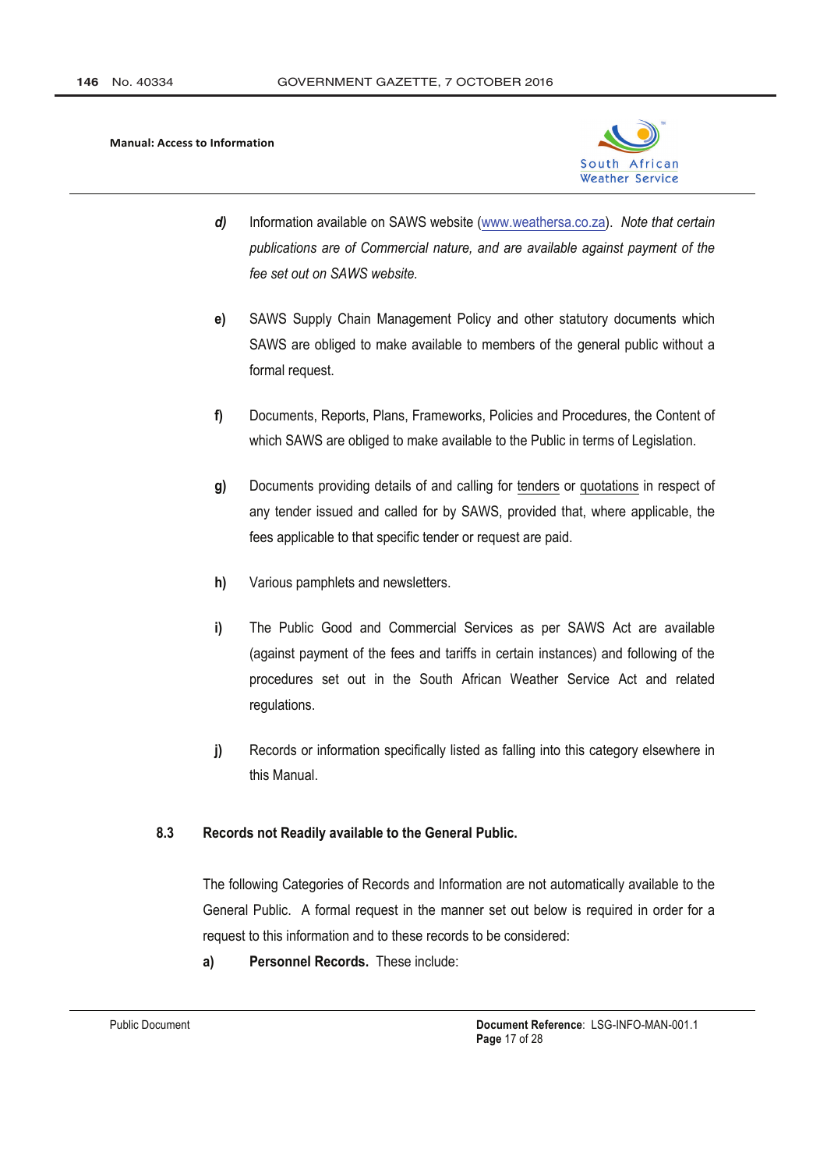

- Information available on SAWS website (www.weathersa.co.za). Note that certain d) publications are of Commercial nature, and are available against payment of the fee set out on SAWS website.
- SAWS Supply Chain Management Policy and other statutory documents which e) SAWS are obliged to make available to members of the general public without a formal request.
- f) Documents, Reports, Plans, Frameworks, Policies and Procedures, the Content of which SAWS are obliged to make available to the Public in terms of Legislation.
- Documents providing details of and calling for tenders or quotations in respect of g) any tender issued and called for by SAWS, provided that, where applicable, the fees applicable to that specific tender or request are paid.
- $h)$ Various pamphlets and newsletters.
- i) The Public Good and Commercial Services as per SAWS Act are available (against payment of the fees and tariffs in certain instances) and following of the procedures set out in the South African Weather Service Act and related regulations.
- $\mathbf{i}$ Records or information specifically listed as falling into this category elsewhere in this Manual.

#### Records not Readily available to the General Public.  $8.3$

The following Categories of Records and Information are not automatically available to the General Public. A formal request in the manner set out below is required in order for a request to this information and to these records to be considered:

Personnel Records. These include:  $a)$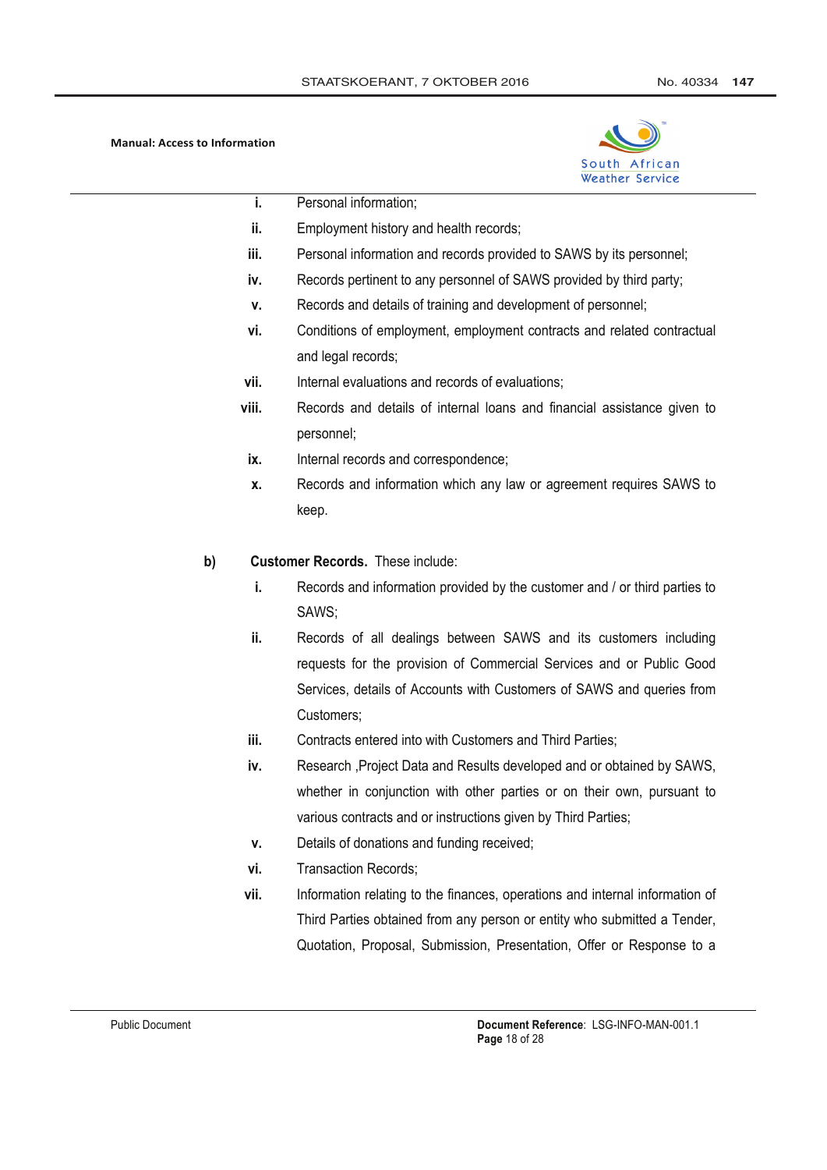

- j. Personal information;
- ii. Employment history and health records;
- iii. Personal information and records provided to SAWS by its personnel;
- iv. Records pertinent to any personnel of SAWS provided by third party;
- $\mathbf{V}$ . Records and details of training and development of personnel;
- vi. Conditions of employment, employment contracts and related contractual and legal records;
- vii. Internal evaluations and records of evaluations;
- viii Records and details of internal loans and financial assistance given to personnel:
	- ix. Internal records and correspondence;
	- Records and information which any law or agreement requires SAWS to  $\mathbf{x}$ . keep.

#### $b)$ **Customer Records. These include:**

- i. Records and information provided by the customer and / or third parties to SAWS:
- ii. Records of all dealings between SAWS and its customers including requests for the provision of Commercial Services and or Public Good Services, details of Accounts with Customers of SAWS and queries from Customers:
- iii. Contracts entered into with Customers and Third Parties;
- iv. Research , Project Data and Results developed and or obtained by SAWS, whether in conjunction with other parties or on their own, pursuant to various contracts and or instructions given by Third Parties:
- Details of donations and funding received; v.
- vi. **Transaction Records:**
- Information relating to the finances, operations and internal information of vii. Third Parties obtained from any person or entity who submitted a Tender, Quotation, Proposal, Submission, Presentation, Offer or Response to a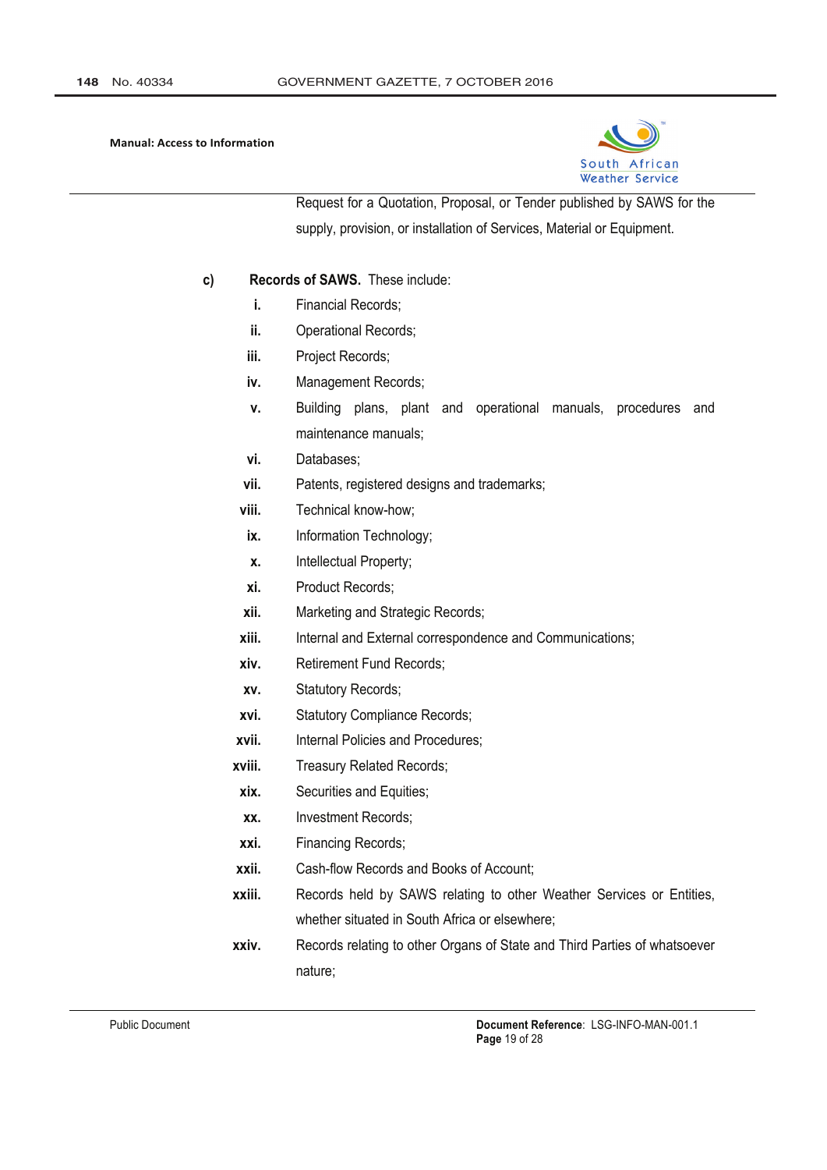

Request for a Quotation, Proposal, or Tender published by SAWS for the supply, provision, or installation of Services, Material or Equipment.

- Records of SAWS. These include:  $c)$ 
	- **Financial Records:** i.
	- ii. **Operational Records;**
	- iii. Project Records;
	- iv. Management Records;
	- Building plans, plant and operational manuals, procedures and  $\mathbf{v}$ . maintenance manuals;
	- vi. Databases;
	- vii. Patents, registered designs and trademarks;
	- viii. Technical know-how;
	- ix. Information Technology;
	- X. Intellectual Property;
	- xi. **Product Records:**
	- xii. Marketing and Strategic Records;
	- xiii. Internal and External correspondence and Communications;
	- xiv. **Retirement Fund Records;**
	- XV. **Statutory Records;**
	- xvi. **Statutory Compliance Records;**
	- Internal Policies and Procedures: xvii.
	- xviii. Treasury Related Records;
	- xix. Securities and Equities;
	- **Investment Records:** XX.
	- xxi. Financing Records;
	- xxii. Cash-flow Records and Books of Account;
	- xxiii. Records held by SAWS relating to other Weather Services or Entities, whether situated in South Africa or elsewhere;
	- xxiv. Records relating to other Organs of State and Third Parties of whatsoever nature;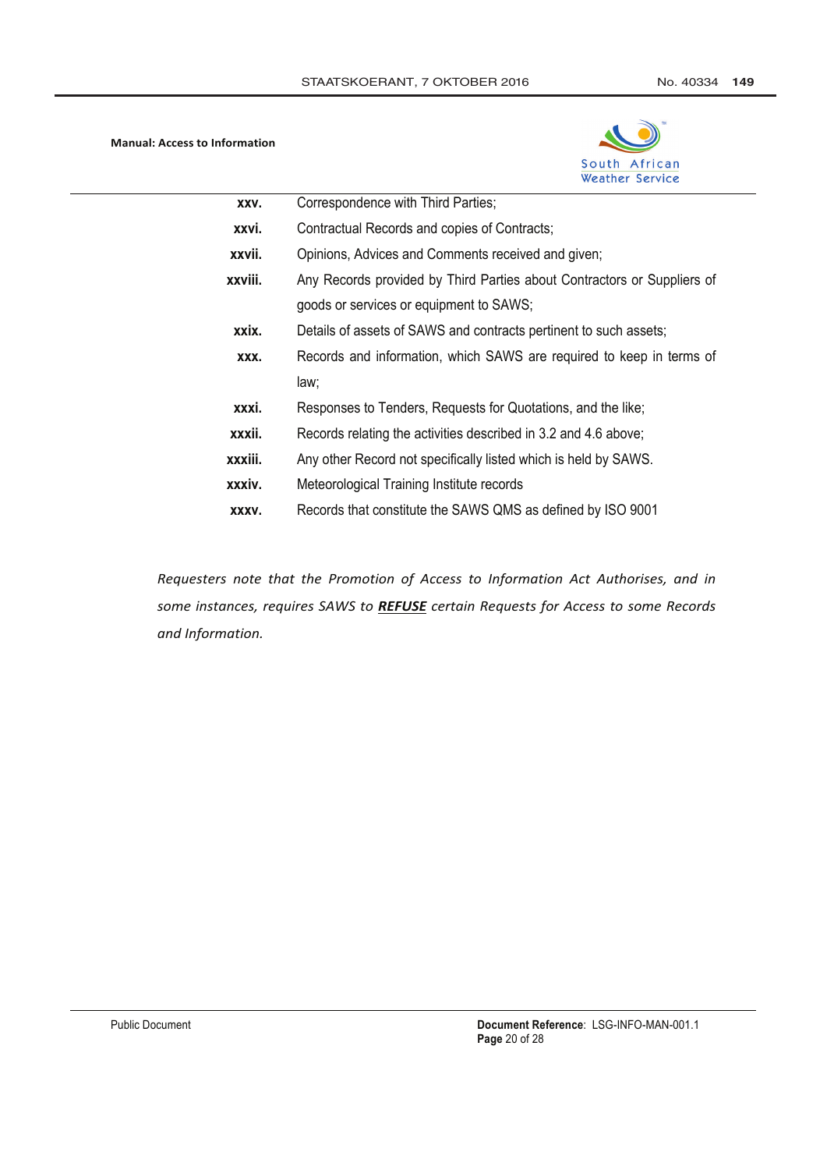

| XXV.    | Correspondence with Third Parties;                                      |  |
|---------|-------------------------------------------------------------------------|--|
| xxvi.   | Contractual Records and copies of Contracts;                            |  |
| xxvii.  | Opinions, Advices and Comments received and given;                      |  |
| xxviii. | Any Records provided by Third Parties about Contractors or Suppliers of |  |
|         | goods or services or equipment to SAWS;                                 |  |
| xxix.   | Details of assets of SAWS and contracts pertinent to such assets;       |  |
| XXX.    | Records and information, which SAWS are required to keep in terms of    |  |
|         | law;                                                                    |  |
| xxxi.   | Responses to Tenders, Requests for Quotations, and the like;            |  |
| xxxii.  | Records relating the activities described in 3.2 and 4.6 above;         |  |
| xxxiii. | Any other Record not specifically listed which is held by SAWS.         |  |
| xxxiv.  | Meteorological Training Institute records                               |  |
| XXXV.   | Records that constitute the SAWS QMS as defined by ISO 9001             |  |

Requesters note that the Promotion of Access to Information Act Authorises, and in some instances, requires SAWS to REFUSE certain Requests for Access to some Records and Information.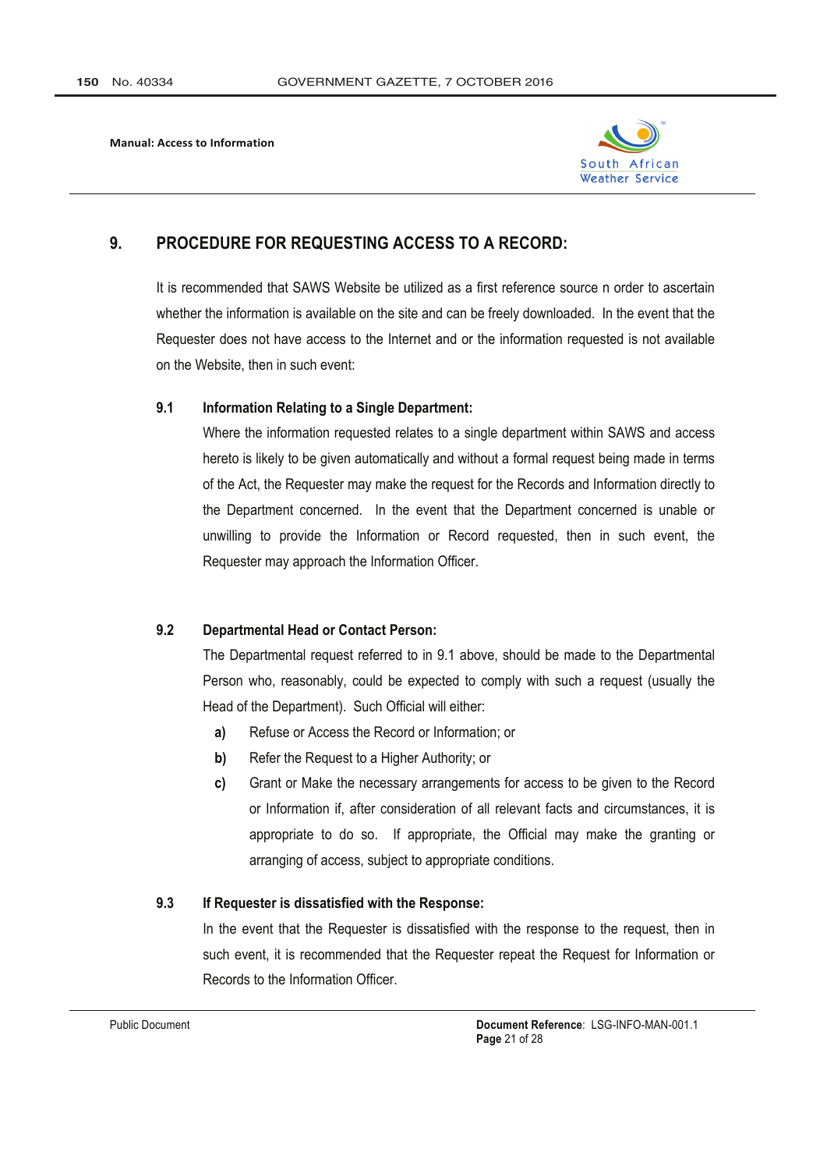

#### 9. **PROCEDURE FOR REQUESTING ACCESS TO A RECORD:**

It is recommended that SAWS Website be utilized as a first reference source n order to ascertain whether the information is available on the site and can be freely downloaded. In the event that the Requester does not have access to the Internet and or the information requested is not available on the Website, then in such event:

#### $9.1$ **Information Relating to a Single Department:**

Where the information requested relates to a single department within SAWS and access hereto is likely to be given automatically and without a formal request being made in terms of the Act, the Requester may make the request for the Records and Information directly to the Department concerned. In the event that the Department concerned is unable or unwilling to provide the Information or Record requested, then in such event, the Requester may approach the Information Officer.

#### 92 **Departmental Head or Contact Person:**

The Departmental request referred to in 9.1 above, should be made to the Departmental Person who, reasonably, could be expected to comply with such a request (usually the Head of the Department). Such Official will either:

- Refuse or Access the Record or Information; or a)
- b) Refer the Request to a Higher Authority; or
- c) Grant or Make the necessary arrangements for access to be given to the Record or Information if, after consideration of all relevant facts and circumstances, it is appropriate to do so. If appropriate, the Official may make the granting or arranging of access, subject to appropriate conditions.

#### $9.3$ If Requester is dissatisfied with the Response:

In the event that the Requester is dissatisfied with the response to the request, then in such event, it is recommended that the Requester repeat the Request for Information or Records to the Information Officer.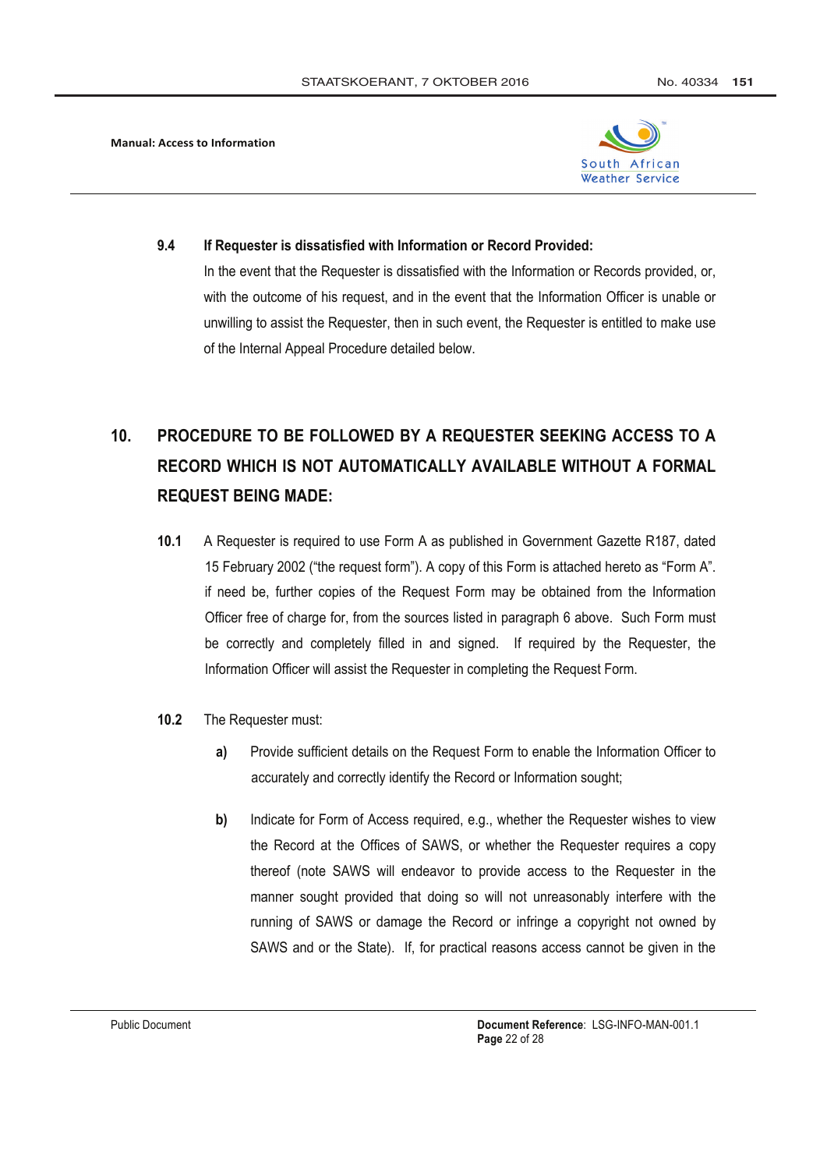

#### $9.4$ If Requester is dissatisfied with Information or Record Provided:

In the event that the Requester is dissatisfied with the Information or Records provided, or, with the outcome of his request, and in the event that the Information Officer is unable or unwilling to assist the Requester, then in such event, the Requester is entitled to make use of the Internal Appeal Procedure detailed below.

## $10<sub>1</sub>$ PROCEDURE TO BE FOLLOWED BY A REQUESTER SEEKING ACCESS TO A RECORD WHICH IS NOT AUTOMATICALLY AVAILABLE WITHOUT A FORMAL **REQUEST BEING MADE:**

- $10.1$ A Requester is required to use Form A as published in Government Gazette R187, dated 15 February 2002 ("the request form"). A copy of this Form is attached hereto as "Form A". if need be, further copies of the Request Form may be obtained from the Information Officer free of charge for, from the sources listed in paragraph 6 above. Such Form must be correctly and completely filled in and signed. If required by the Requester, the Information Officer will assist the Requester in completing the Request Form.
- $10.2$ The Requester must:
	- Provide sufficient details on the Request Form to enable the Information Officer to  $a)$ accurately and correctly identify the Record or Information sought;
	- Indicate for Form of Access required, e.g., whether the Requester wishes to view b) the Record at the Offices of SAWS, or whether the Requester requires a copy thereof (note SAWS will endeavor to provide access to the Requester in the manner sought provided that doing so will not unreasonably interfere with the running of SAWS or damage the Record or infringe a copyright not owned by SAWS and or the State). If, for practical reasons access cannot be given in the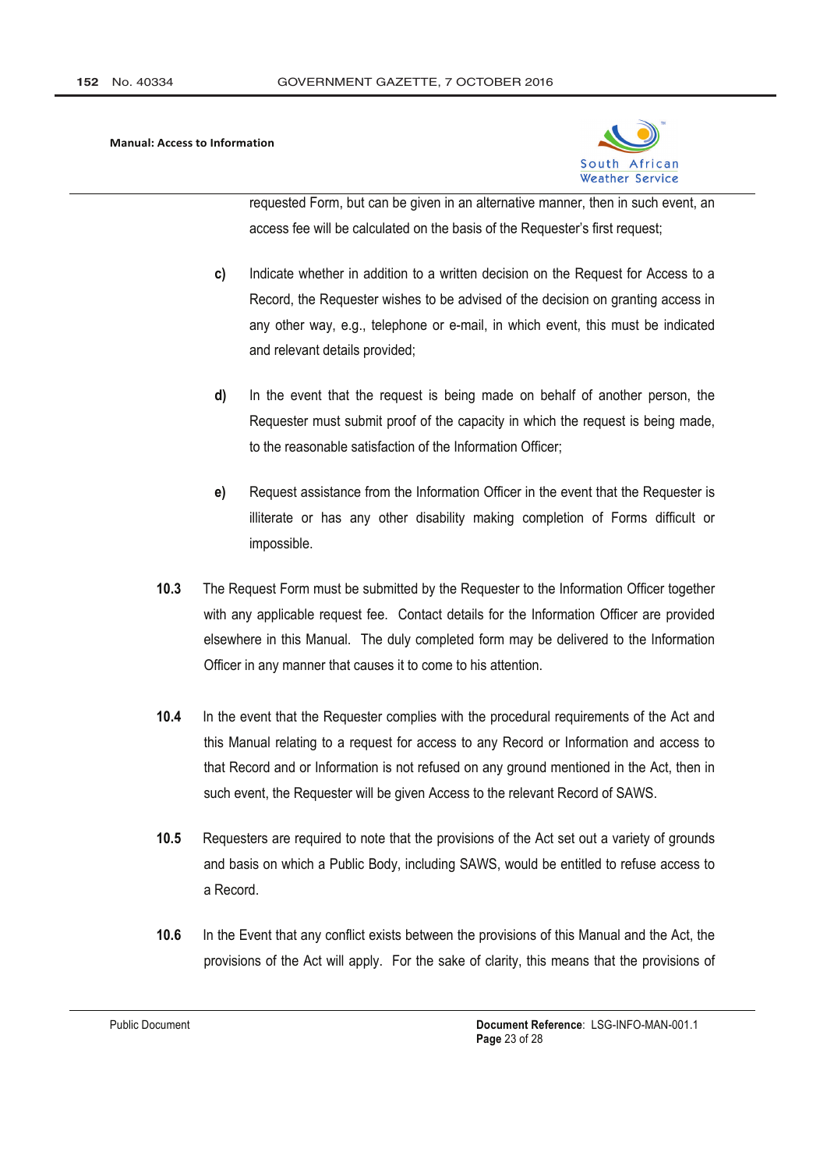

requested Form, but can be given in an alternative manner, then in such event, an access fee will be calculated on the basis of the Requester's first request;

- $c)$ Indicate whether in addition to a written decision on the Request for Access to a Record, the Requester wishes to be advised of the decision on granting access in any other way, e.g., telephone or e-mail, in which event, this must be indicated and relevant details provided;
- d) In the event that the request is being made on behalf of another person, the Requester must submit proof of the capacity in which the request is being made. to the reasonable satisfaction of the Information Officer;
- Request assistance from the Information Officer in the event that the Requester is  $e)$ illiterate or has any other disability making completion of Forms difficult or impossible.
- $10.3$ The Request Form must be submitted by the Requester to the Information Officer together with any applicable request fee. Contact details for the Information Officer are provided elsewhere in this Manual. The duly completed form may be delivered to the Information Officer in any manner that causes it to come to his attention.
- $10.4$ In the event that the Requester complies with the procedural requirements of the Act and this Manual relating to a request for access to any Record or Information and access to that Record and or Information is not refused on any ground mentioned in the Act, then in such event, the Requester will be given Access to the relevant Record of SAWS.
- $10.5$ Requesters are required to note that the provisions of the Act set out a variety of grounds and basis on which a Public Body, including SAWS, would be entitled to refuse access to a Record.
- $10.6$ In the Event that any conflict exists between the provisions of this Manual and the Act, the provisions of the Act will apply. For the sake of clarity, this means that the provisions of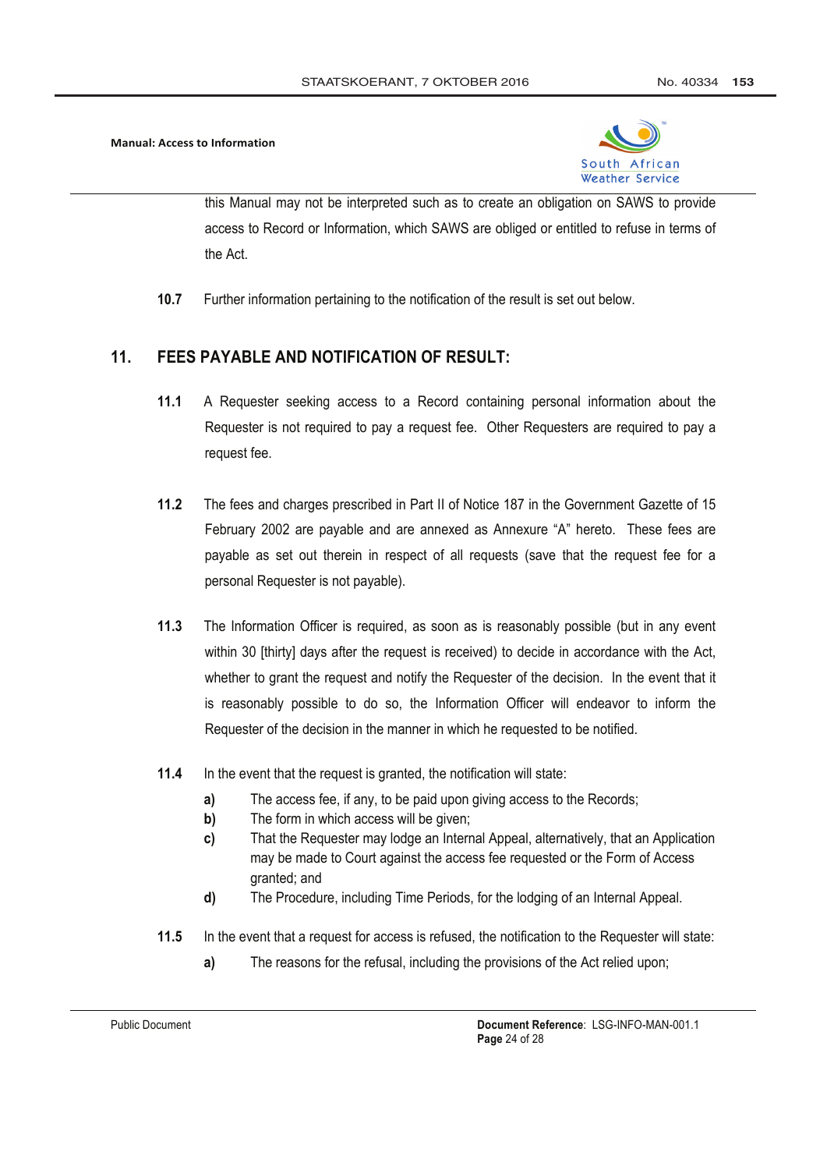

this Manual may not be interpreted such as to create an obligation on SAWS to provide access to Record or Information, which SAWS are obliged or entitled to refuse in terms of the Act

 $10.7$ Further information pertaining to the notification of the result is set out below.

#### $11.$ **FEES PAYABLE AND NOTIFICATION OF RESULT:**

- $11.1$ A Requester seeking access to a Record containing personal information about the Requester is not required to pay a request fee. Other Requesters are required to pay a request fee.
- $11.2$ The fees and charges prescribed in Part II of Notice 187 in the Government Gazette of 15 February 2002 are payable and are annexed as Annexure "A" hereto. These fees are payable as set out therein in respect of all requests (save that the request fee for a personal Requester is not payable).
- $11.3$ The Information Officer is required, as soon as is reasonably possible (but in any event within 30 [thirty] days after the request is received) to decide in accordance with the Act, whether to grant the request and notify the Requester of the decision. In the event that it is reasonably possible to do so, the Information Officer will endeavor to inform the Requester of the decision in the manner in which he requested to be notified.
- $11.4$ In the event that the request is granted, the notification will state:
	- $a)$ The access fee, if any, to be paid upon giving access to the Records;
	- $\mathbf{b}$ The form in which access will be given;
	- That the Requester may lodge an Internal Appeal, alternatively, that an Application c) may be made to Court against the access fee requested or the Form of Access granted; and
	- $\mathbf{d}$ The Procedure, including Time Periods, for the lodging of an Internal Appeal.
- $11.5$ In the event that a request for access is refused, the notification to the Requester will state:
	- $a)$ The reasons for the refusal, including the provisions of the Act relied upon;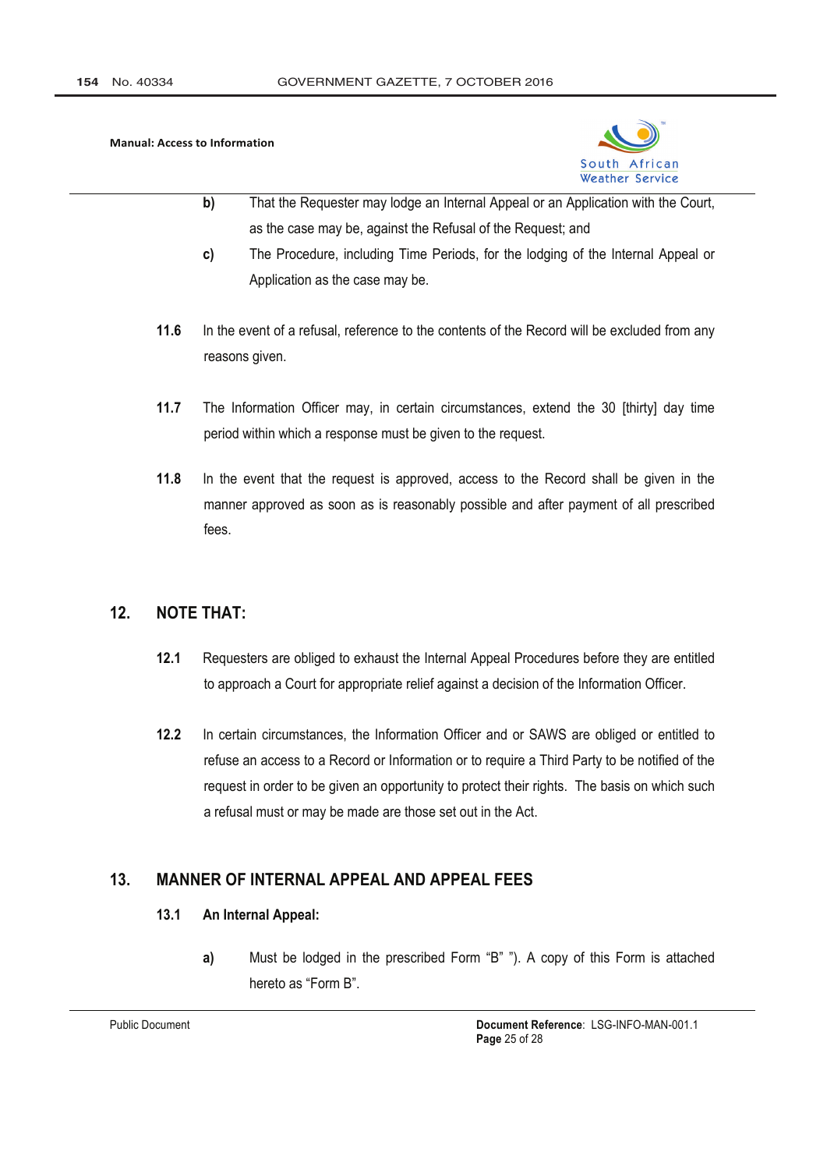

- $b)$ That the Requester may lodge an Internal Appeal or an Application with the Court, as the case may be, against the Refusal of the Request; and
- The Procedure, including Time Periods, for the lodging of the Internal Appeal or c) Application as the case may be.
- $11.6$ In the event of a refusal, reference to the contents of the Record will be excluded from any reasons given.
- $11.7$ The Information Officer may, in certain circumstances, extend the 30 [thirty] day time period within which a response must be given to the request.
- $11.8$ In the event that the request is approved, access to the Record shall be given in the manner approved as soon as is reasonably possible and after payment of all prescribed fees.

#### **NOTE THAT:**  $12.$

- $12.1$ Requesters are obliged to exhaust the Internal Appeal Procedures before they are entitled to approach a Court for appropriate relief against a decision of the Information Officer.
- $12.2$ In certain circumstances, the Information Officer and or SAWS are obliged or entitled to refuse an access to a Record or Information or to require a Third Party to be notified of the request in order to be given an opportunity to protect their rights. The basis on which such a refusal must or may be made are those set out in the Act.

#### **MANNER OF INTERNAL APPEAL AND APPEAL FEES**  $13.$

#### $13.1$ An Internal Appeal:

Must be lodged in the prescribed Form "B" "). A copy of this Form is attached  $a)$ hereto as "Form B"

**Public Document**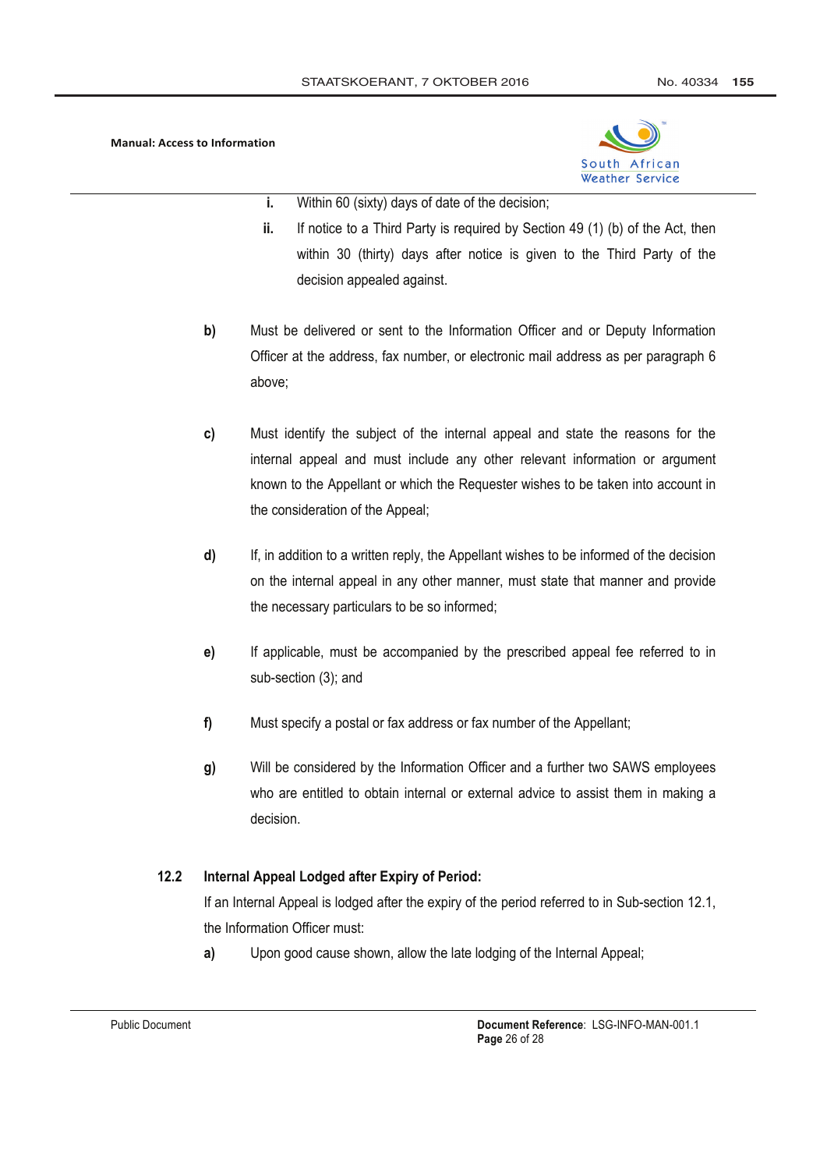

- i. Within 60 (sixty) days of date of the decision;
- ii. If notice to a Third Party is required by Section 49 (1) (b) of the Act, then within 30 (thirty) days after notice is given to the Third Party of the decision appealed against.
- $b)$ Must be delivered or sent to the Information Officer and or Deputy Information Officer at the address, fax number, or electronic mail address as per paragraph 6 above:
- Must identify the subject of the internal appeal and state the reasons for the  $c)$ internal appeal and must include any other relevant information or argument known to the Appellant or which the Requester wishes to be taken into account in the consideration of the Appeal;
- $\mathsf{d}$ If, in addition to a written reply, the Appellant wishes to be informed of the decision on the internal appeal in any other manner, must state that manner and provide the necessary particulars to be so informed;
- $e)$ If applicable, must be accompanied by the prescribed appeal fee referred to in sub-section (3); and
- $f$ Must specify a postal or fax address or fax number of the Appellant;
- $q)$ Will be considered by the Information Officer and a further two SAWS employees who are entitled to obtain internal or external advice to assist them in making a decision.

#### $12.2<sub>2</sub>$ Internal Appeal Lodged after Expiry of Period:

If an Internal Appeal is lodged after the expiry of the period referred to in Sub-section 12.1, the Information Officer must:

 $a)$ Upon good cause shown, allow the late lodging of the Internal Appeal;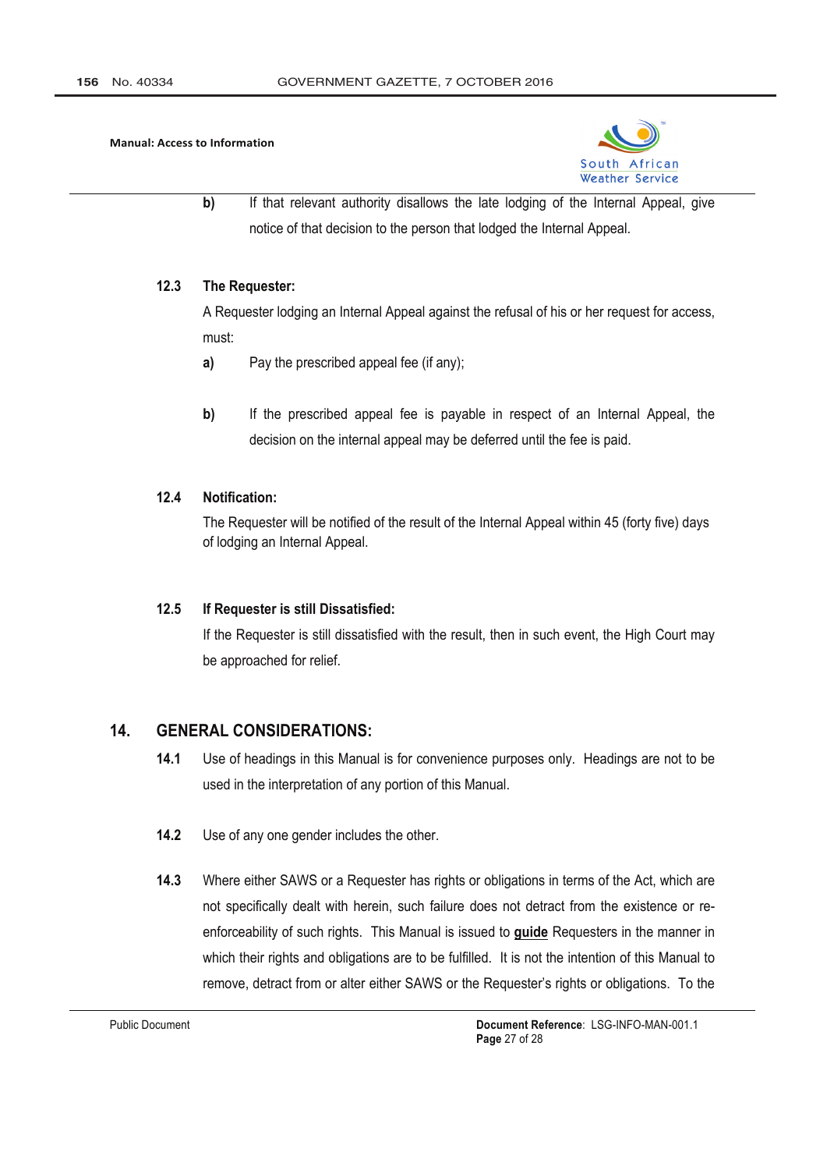

b) If that relevant authority disallows the late lodging of the Internal Appeal, give notice of that decision to the person that lodged the Internal Appeal.

#### $12.3$ The Requester:

A Requester lodging an Internal Appeal against the refusal of his or her request for access, must:

- $a)$ Pay the prescribed appeal fee (if any);
- $b)$ If the prescribed appeal fee is payable in respect of an Internal Appeal, the decision on the internal appeal may be deferred until the fee is paid.

#### $12\Delta$ Notification:

The Requester will be notified of the result of the Internal Appeal within 45 (forty five) days of lodging an Internal Appeal.

#### $12.5$ If Requester is still Dissatisfied:

If the Requester is still dissatisfied with the result, then in such event, the High Court may be approached for relief.

#### $14.$ **GENERAL CONSIDERATIONS:**

- $14.1$ Use of headings in this Manual is for convenience purposes only. Headings are not to be used in the interpretation of any portion of this Manual.
- $14.2$ Use of any one gender includes the other.
- $14.3$ Where either SAWS or a Requester has rights or obligations in terms of the Act, which are not specifically dealt with herein, such failure does not detract from the existence or reenforceability of such rights. This Manual is issued to guide Requesters in the manner in which their rights and obligations are to be fulfilled. It is not the intention of this Manual to remove, detract from or alter either SAWS or the Requester's rights or obligations. To the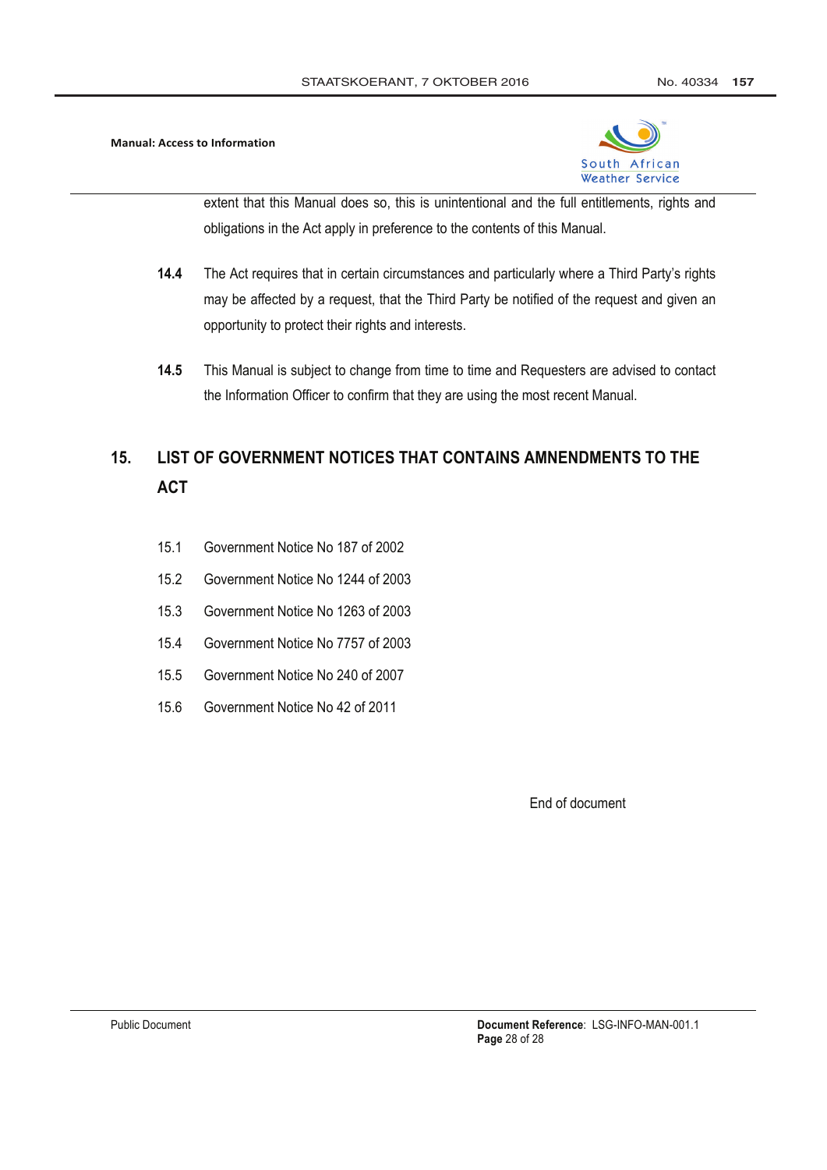

extent that this Manual does so, this is unintentional and the full entitlements, rights and obligations in the Act apply in preference to the contents of this Manual.

- $14.4$ The Act requires that in certain circumstances and particularly where a Third Party's rights may be affected by a request, that the Third Party be notified of the request and given an opportunity to protect their rights and interests.
- 14.5 This Manual is subject to change from time to time and Requesters are advised to contact the Information Officer to confirm that they are using the most recent Manual.

## LIST OF GOVERNMENT NOTICES THAT CONTAINS AMNENDMENTS TO THE  $15.$ **ACT**

- $151$ Government Notice No 187 of 2002
- $15.2$ Government Notice No 1244 of 2003
- $15.3$ Government Notice No 1263 of 2003
- $15.4$ Government Notice No 7757 of 2003
- $15.5$ Government Notice No 240 of 2007
- 15.6 Government Notice No 42 of 2011

End of document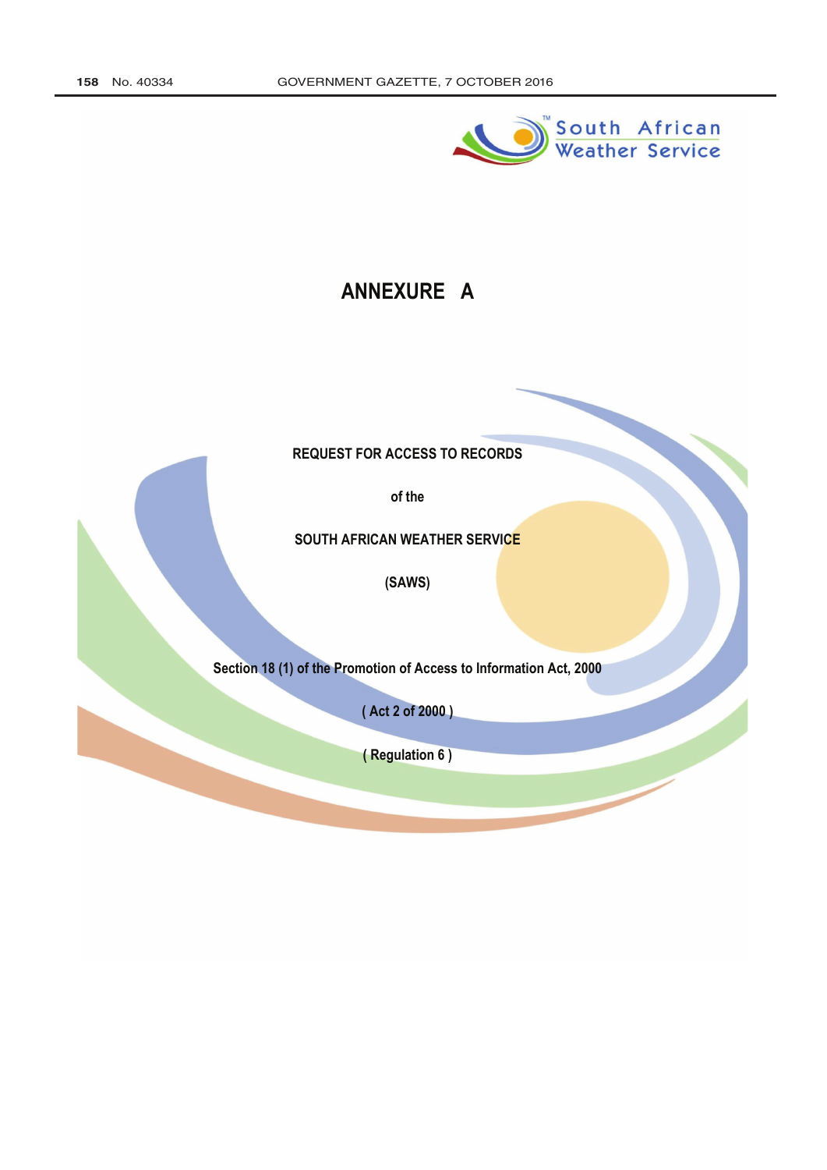

# ANNEXURE A

**REQUEST FOR ACCESS TO RECORDS** 

of the

SOUTH AFRICAN WEATHER SERVICE

(SAWS)

Section 18 (1) of the Promotion of Access to Information Act, 2000

(Act 2 of 2000)

(Regulation 6)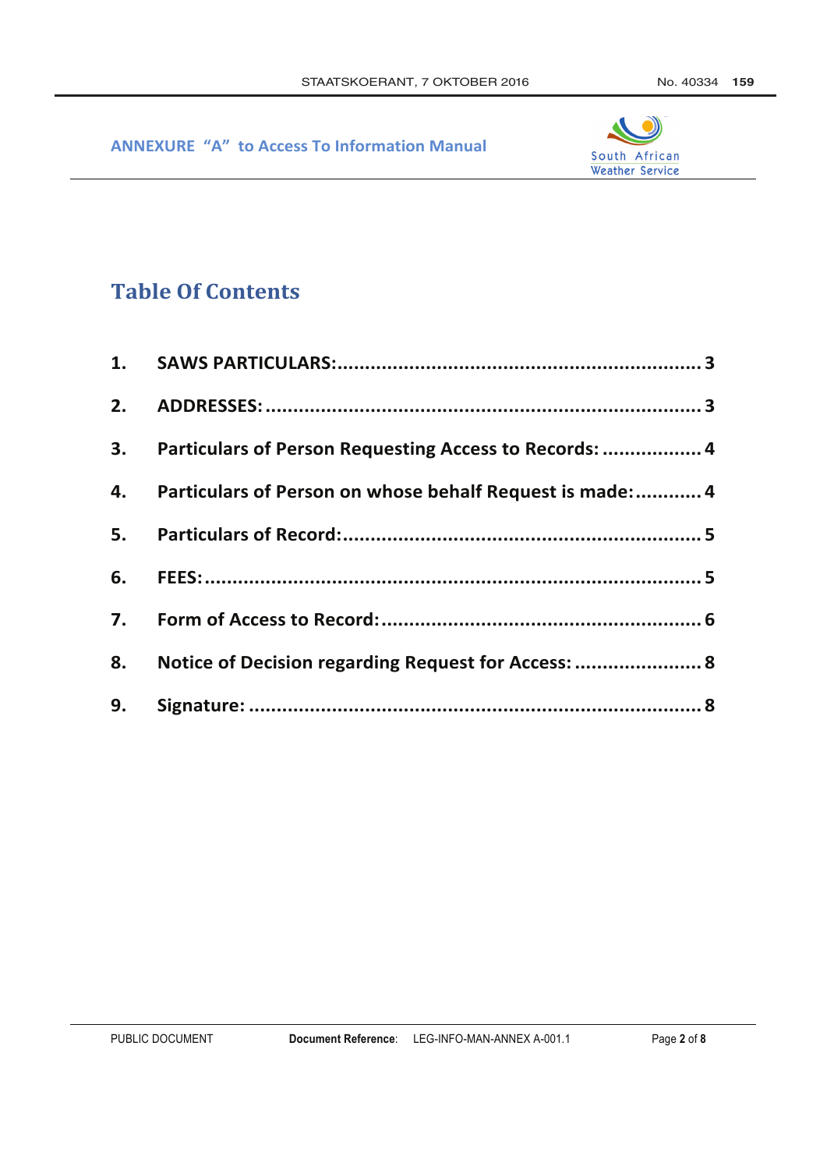

# **Table Of Contents**

| 3. Particulars of Person Requesting Access to Records:  4    |  |
|--------------------------------------------------------------|--|
| 4. Particulars of Person on whose behalf Request is made:  4 |  |
|                                                              |  |
|                                                              |  |
|                                                              |  |
| 8. Notice of Decision regarding Request for Access:  8       |  |
|                                                              |  |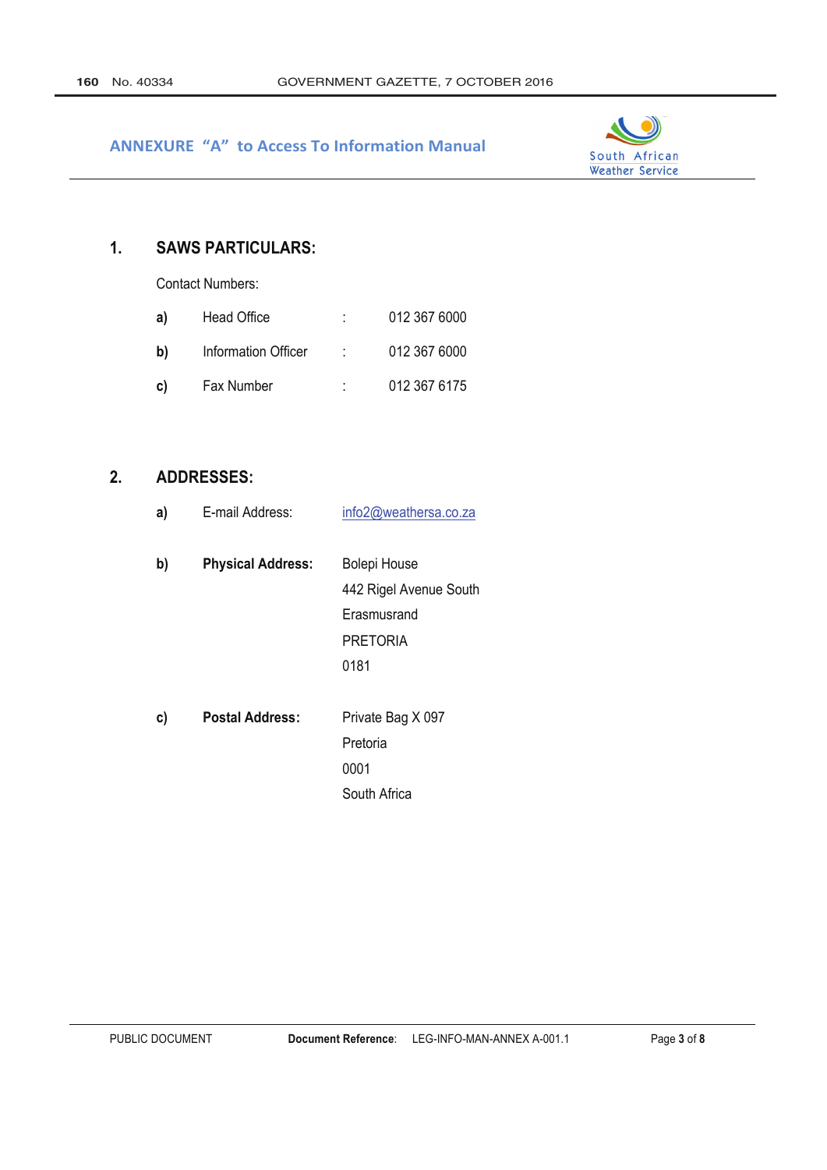

#### $1.$ **SAWS PARTICULARS:**

**Contact Numbers:** 

| a) | Head Office         |    | 012 367 6000 |
|----|---------------------|----|--------------|
| b) | Information Officer | t. | 012 367 6000 |
| C) | Fax Number          |    | 012 367 6175 |

#### $2.$ **ADDRESSES:**

| a) | E-mail Address:          | info2@weathersa.co.za  |
|----|--------------------------|------------------------|
| b) | <b>Physical Address:</b> | <b>Bolepi House</b>    |
|    |                          | 442 Rigel Avenue South |
|    |                          | Erasmusrand            |
|    |                          | <b>PRETORIA</b>        |
|    |                          | 0181                   |
|    |                          |                        |
| c) | <b>Postal Address:</b>   | Private Bag X 097      |
|    |                          | Pretoria               |
|    |                          | 0001                   |
|    |                          | South Africa           |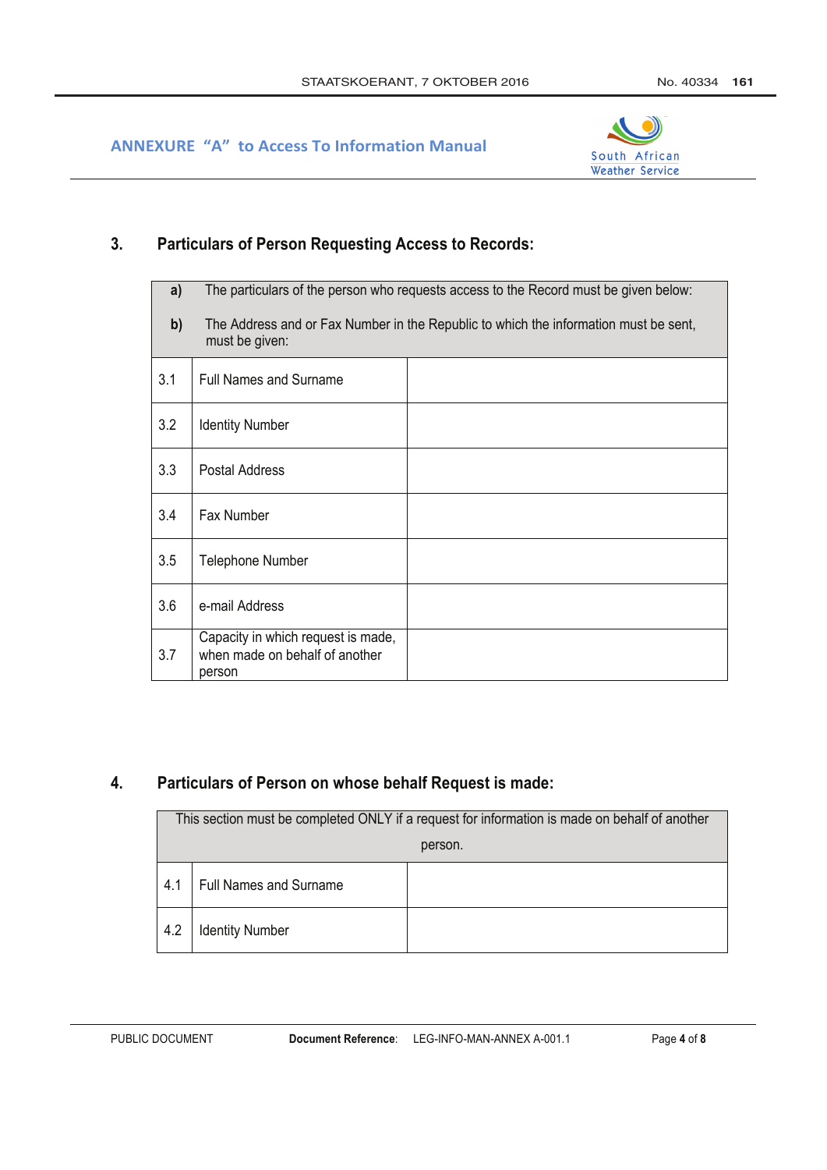

#### **Particulars of Person Requesting Access to Records:**  $3.$

| a)  | The particulars of the person who requests access to the Record must be given below:                   |  |  |
|-----|--------------------------------------------------------------------------------------------------------|--|--|
| b)  | The Address and or Fax Number in the Republic to which the information must be sent,<br>must be given: |  |  |
| 3.1 | <b>Full Names and Surname</b>                                                                          |  |  |
| 3.2 | <b>Identity Number</b>                                                                                 |  |  |
| 3.3 | Postal Address                                                                                         |  |  |
| 3.4 | Fax Number                                                                                             |  |  |
| 3.5 | Telephone Number                                                                                       |  |  |
| 3.6 | e-mail Address                                                                                         |  |  |
| 3.7 | Capacity in which request is made,<br>when made on behalf of another<br>person                         |  |  |

#### Particulars of Person on whose behalf Request is made:  $\overline{4}$ .

| This section must be completed ONLY if a request for information is made on behalf of another |                               |  |  |  |
|-----------------------------------------------------------------------------------------------|-------------------------------|--|--|--|
|                                                                                               | person.                       |  |  |  |
| 4.1                                                                                           | <b>Full Names and Surname</b> |  |  |  |
| 4.2                                                                                           | <b>Identity Number</b>        |  |  |  |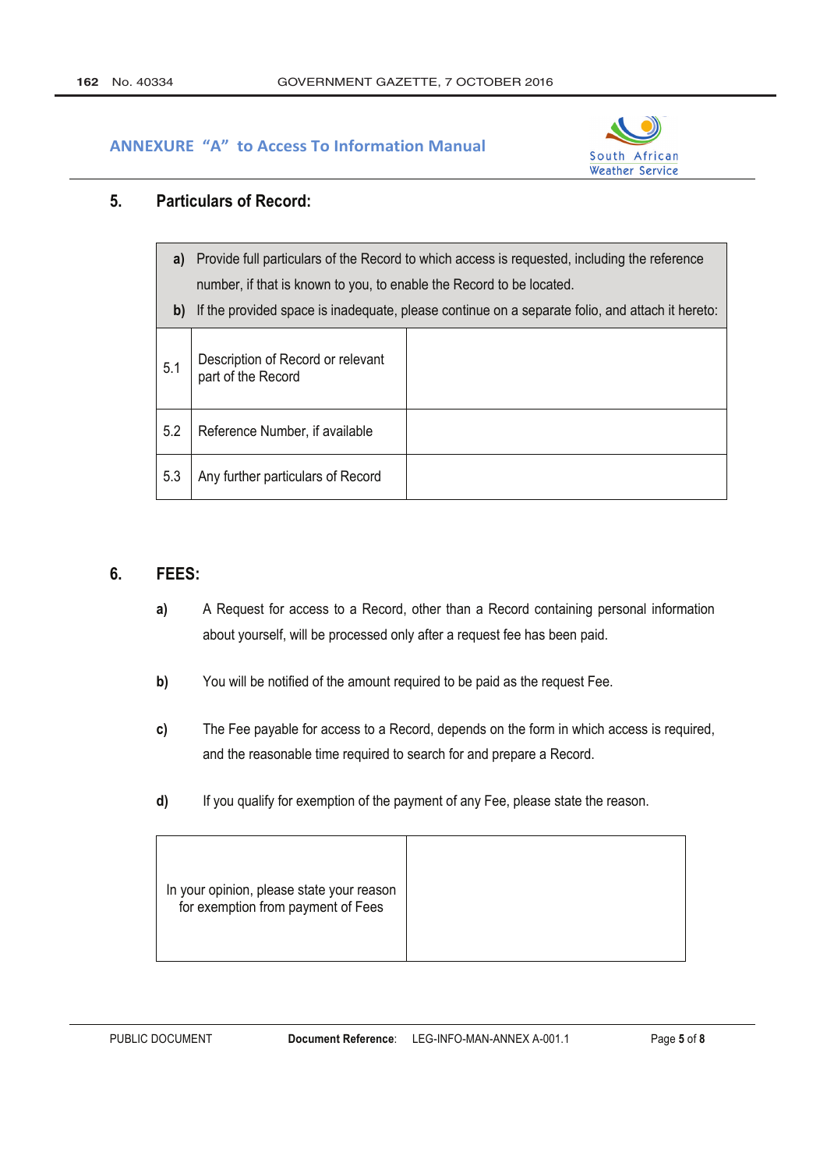

#### 5. **Particulars of Record:**

| a)<br>b) | Provide full particulars of the Record to which access is requested, including the reference<br>number, if that is known to you, to enable the Record to be located.<br>If the provided space is inadequate, please continue on a separate folio, and attach it hereto: |  |  |
|----------|-------------------------------------------------------------------------------------------------------------------------------------------------------------------------------------------------------------------------------------------------------------------------|--|--|
|          |                                                                                                                                                                                                                                                                         |  |  |
| 5.1      | Description of Record or relevant<br>part of the Record                                                                                                                                                                                                                 |  |  |
| 5.2      | Reference Number, if available                                                                                                                                                                                                                                          |  |  |
| 5.3      | Any further particulars of Record                                                                                                                                                                                                                                       |  |  |

#### 6. FEES:

- $a)$ A Request for access to a Record, other than a Record containing personal information about yourself, will be processed only after a request fee has been paid.
- You will be notified of the amount required to be paid as the request Fee.  $b)$
- $c)$ The Fee payable for access to a Record, depends on the form in which access is required, and the reasonable time required to search for and prepare a Record.
- If you qualify for exemption of the payment of any Fee, please state the reason.  $\mathsf{d}$

|--|--|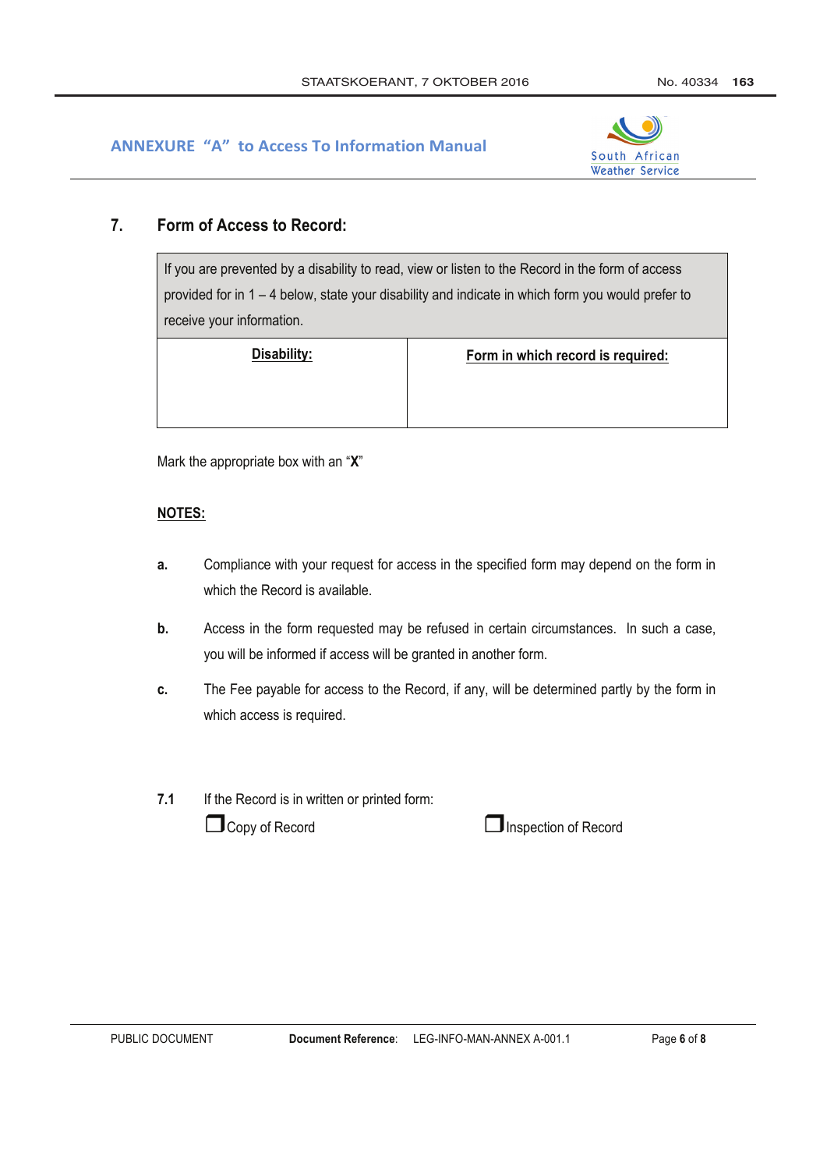

#### $\overline{7}$ . Form of Access to Record:

If you are prevented by a disability to read, view or listen to the Record in the form of access provided for in 1 - 4 below, state your disability and indicate in which form you would prefer to receive your information.

Disability:

Form in which record is required:

Mark the appropriate box with an "X"

## **NOTES:**

- Compliance with your request for access in the specified form may depend on the form in a. which the Record is available
- $\mathbf{b}$ . Access in the form requested may be refused in certain circumstances. In such a case, you will be informed if access will be granted in another form.
- The Fee payable for access to the Record, if any, will be determined partly by the form in c. which access is required.
- $7.1$ If the Record is in written or printed form:

 $\Box$  Copy of Record

 $\Box$  Inspection of Record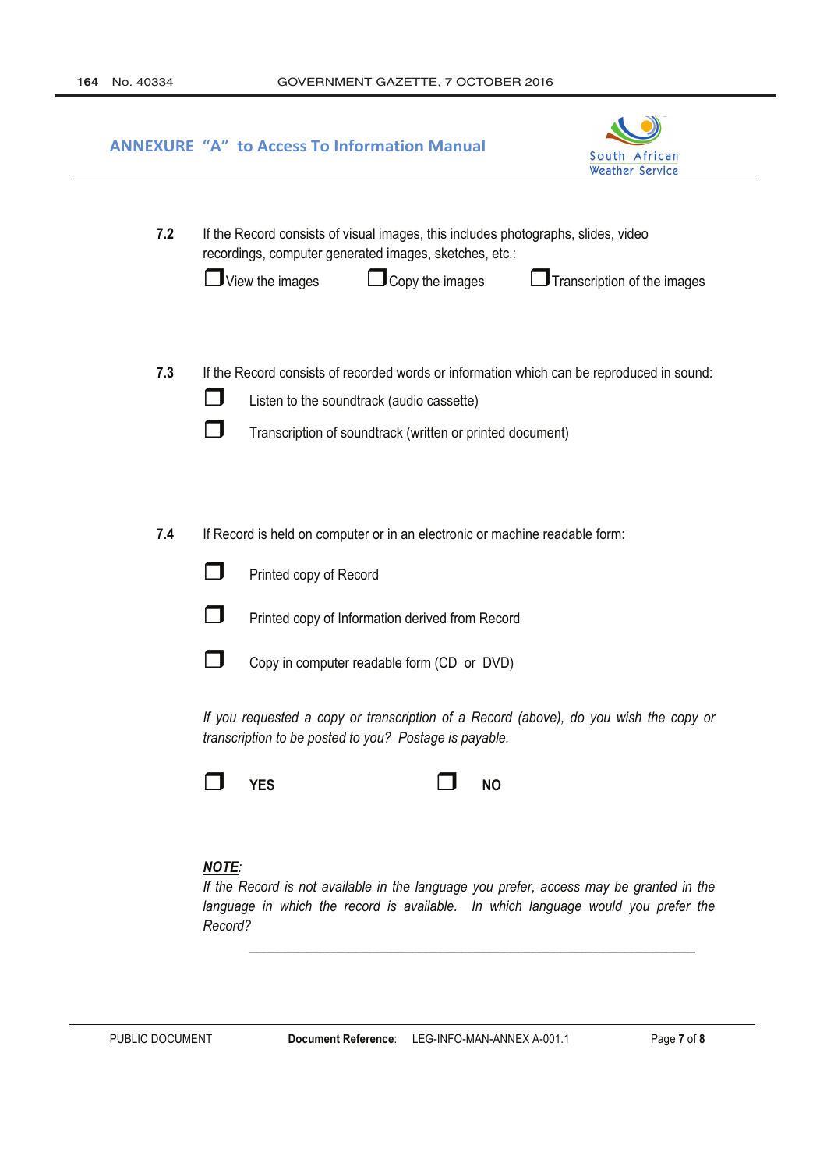|     | <b>ANNEXURE "A" to Access To Information Manual</b><br>South African<br><b>Weather Service</b>                                                                                                                                                                                                                                                                                       |  |
|-----|--------------------------------------------------------------------------------------------------------------------------------------------------------------------------------------------------------------------------------------------------------------------------------------------------------------------------------------------------------------------------------------|--|
| 7.2 | If the Record consists of visual images, this includes photographs, slides, video<br>recordings, computer generated images, sketches, etc.:<br>$\mathbf J$ View the images<br>$\mathbf J$ Copy the images<br>$\Box$ Transcription of the images                                                                                                                                      |  |
| 7.3 | If the Record consists of recorded words or information which can be reproduced in sound:<br>Listen to the soundtrack (audio cassette)<br>Transcription of soundtrack (written or printed document)                                                                                                                                                                                  |  |
| 7.4 | If Record is held on computer or in an electronic or machine readable form:<br>Printed copy of Record<br>Printed copy of Information derived from Record<br>Copy in computer readable form (CD or DVD)<br>If you requested a copy or transcription of a Record (above), do you wish the copy or<br>transcription to be posted to you? Postage is payable.<br><b>YES</b><br><b>NO</b> |  |
|     | <b>NOTE:</b><br>If the Record is not available in the language you prefer, access may be granted in the                                                                                                                                                                                                                                                                              |  |

language in which the record is available. In which language would you prefer the Record?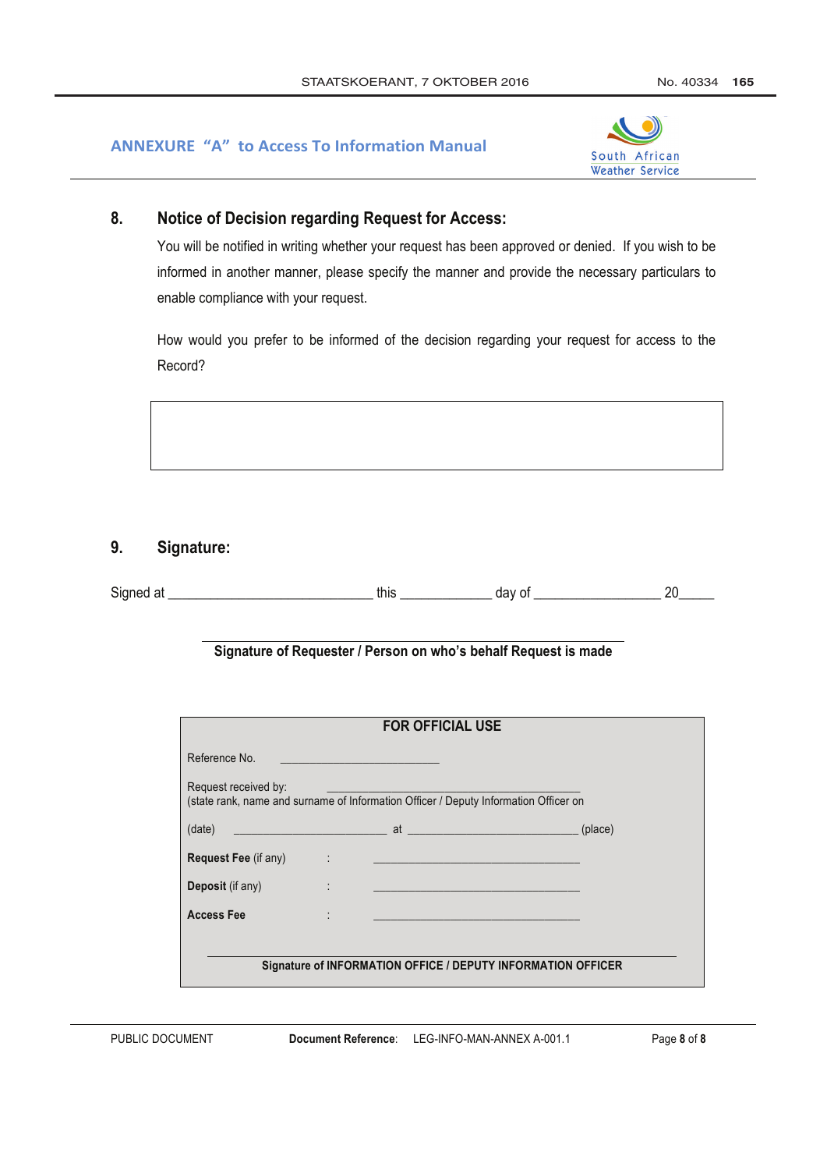

#### 8. **Notice of Decision regarding Request for Access:**

You will be notified in writing whether your request has been approved or denied. If you wish to be informed in another manner, please specify the manner and provide the necessary particulars to enable compliance with your request.

How would you prefer to be informed of the decision regarding your request for access to the Record?

#### 9. Signature:

| r.<br>Signec | this | .<br>uu | nr |
|--------------|------|---------|----|
|              |      |         |    |

## Signature of Requester / Person on who's behalf Request is made

|                                                                                                              |                   | <b>FOR OFFICIAL USE</b> |  |         |
|--------------------------------------------------------------------------------------------------------------|-------------------|-------------------------|--|---------|
| Reference No.                                                                                                |                   |                         |  |         |
| Request received by:<br>(state rank, name and surname of Information Officer / Deputy Information Officer on |                   |                         |  |         |
| (date)                                                                                                       |                   |                         |  | (place) |
| <b>Request Fee (if any)</b>                                                                                  | <b>Contractor</b> |                         |  |         |
| Deposit (if any)                                                                                             |                   |                         |  |         |
| <b>Access Fee</b>                                                                                            |                   |                         |  |         |
|                                                                                                              |                   |                         |  |         |
| Signature of INFORMATION OFFICE / DEPUTY INFORMATION OFFICER                                                 |                   |                         |  |         |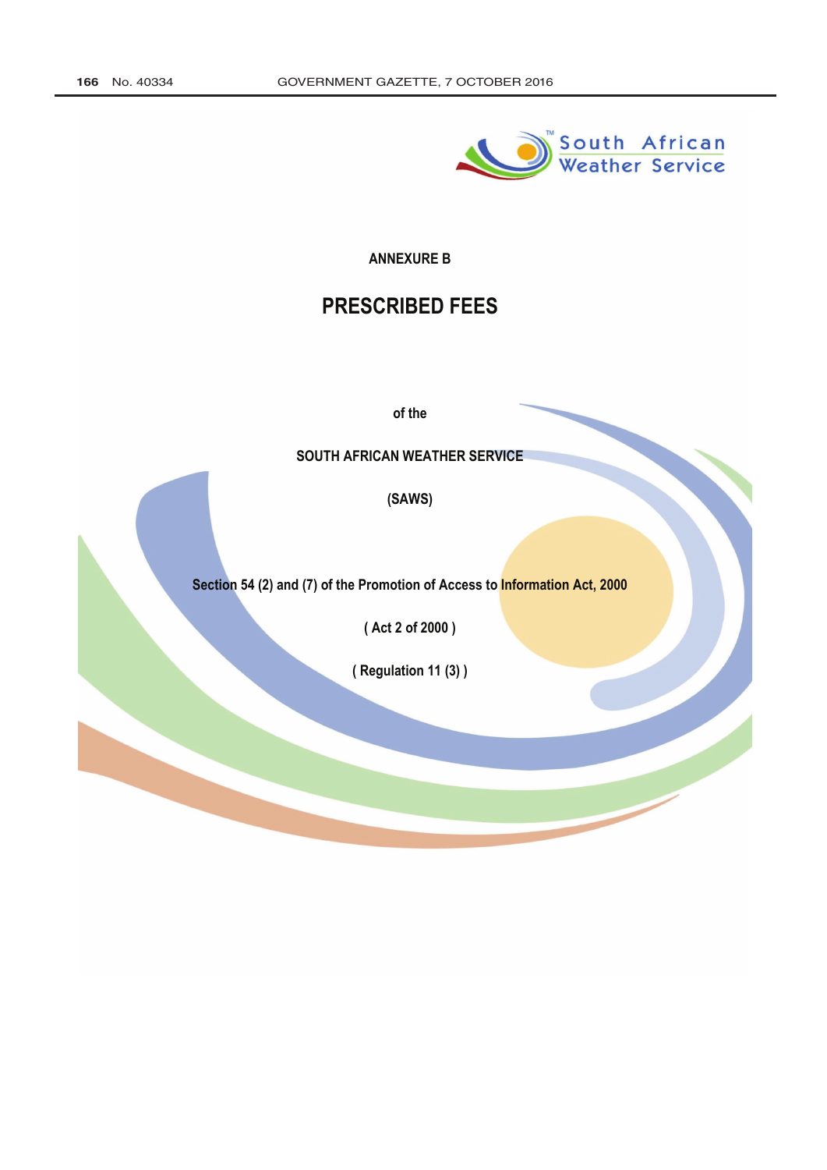

## **ANNEXURE B**

# **PRESCRIBED FEES**

of the

## SOUTH AFRICAN WEATHER SERVICE

(SAWS)

Section 54 (2) and (7) of the Promotion of Access to Information Act, 2000

(Act 2 of 2000)

(Regulation 11(3))